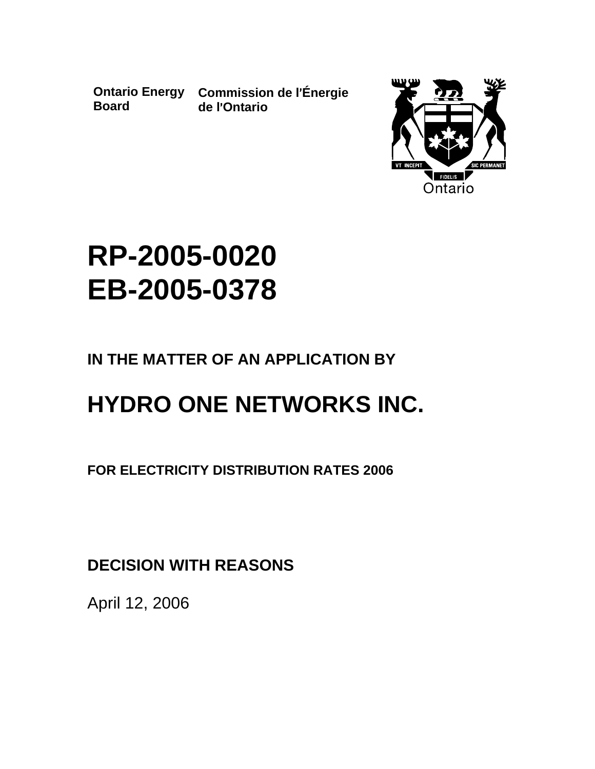**Board**

**Ontario Energy Commission de l**=**Énergie de l**=**Ontario**



# **RP-2005-0020 EB-2005-0378**

# **IN THE MATTER OF AN APPLICATION BY**

# **HYDRO ONE NETWORKS INC.**

**FOR ELECTRICITY DISTRIBUTION RATES 2006**

**DECISION WITH REASONS**

April 12, 2006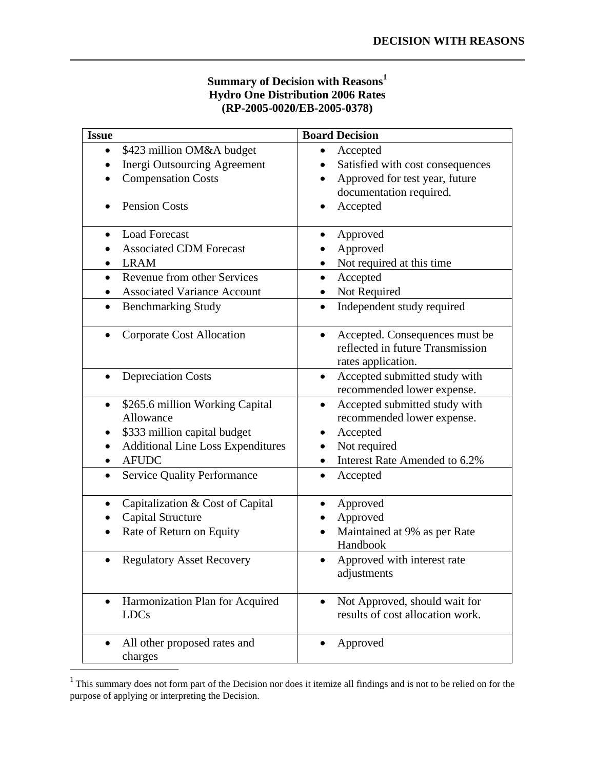### **Summary of Decision with Reasons<sup>1</sup> Hydro One Distribution 2006 Rates (RP-2005-0020/EB-2005-0378)**

| <b>Issue</b>                                                                                                                                                                                             | <b>Board Decision</b>                                                                                                                                          |
|----------------------------------------------------------------------------------------------------------------------------------------------------------------------------------------------------------|----------------------------------------------------------------------------------------------------------------------------------------------------------------|
| \$423 million OM&A budget<br>$\bullet$<br><b>Inergi Outsourcing Agreement</b><br><b>Compensation Costs</b><br><b>Pension Costs</b>                                                                       | Accepted<br>$\bullet$<br>Satisfied with cost consequences<br>Approved for test year, future<br>documentation required.<br>Accepted                             |
| <b>Load Forecast</b><br>$\bullet$<br><b>Associated CDM Forecast</b><br><b>LRAM</b><br>Revenue from other Services<br><b>Associated Variance Account</b><br><b>Benchmarking Study</b><br>$\bullet$        | Approved<br>Approved<br>Not required at this time<br>Accepted<br>$\bullet$<br>Not Required<br>Independent study required<br>$\bullet$                          |
| <b>Corporate Cost Allocation</b><br>$\bullet$                                                                                                                                                            | Accepted. Consequences must be<br>$\bullet$<br>reflected in future Transmission<br>rates application.                                                          |
| <b>Depreciation Costs</b><br>$\bullet$                                                                                                                                                                   | Accepted submitted study with<br>$\bullet$<br>recommended lower expense.                                                                                       |
| \$265.6 million Working Capital<br>$\bullet$<br>Allowance<br>\$333 million capital budget<br><b>Additional Line Loss Expenditures</b><br><b>AFUDC</b><br><b>Service Quality Performance</b><br>$\bullet$ | Accepted submitted study with<br>$\bullet$<br>recommended lower expense.<br>Accepted<br>Not required<br>Interest Rate Amended to 6.2%<br>Accepted<br>$\bullet$ |
| Capitalization & Cost of Capital<br><b>Capital Structure</b><br>Rate of Return on Equity<br>$\bullet$<br><b>Regulatory Asset Recovery</b>                                                                | Approved<br>٠<br>Approved<br>Maintained at 9% as per Rate<br>Handbook<br>Approved with interest rate<br>$\bullet$                                              |
| Harmonization Plan for Acquired<br><b>LDCs</b>                                                                                                                                                           | adjustments<br>Not Approved, should wait for<br>results of cost allocation work.                                                                               |
| All other proposed rates and<br>charges                                                                                                                                                                  | Approved                                                                                                                                                       |

 $<sup>1</sup>$  This summary does not form part of the Decision nor does it itemize all findings and is not to be relied on for the</sup> purpose of applying or interpreting the Decision.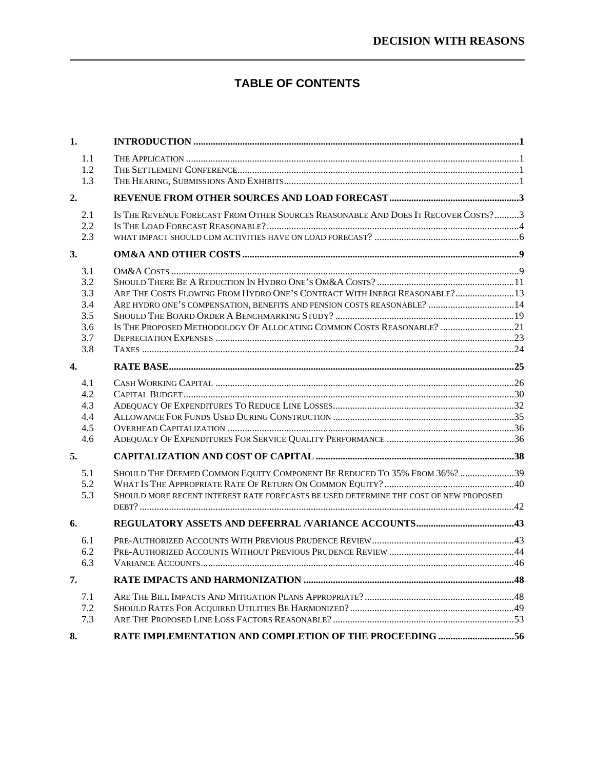### **TABLE OF CONTENTS**

| 1.                                                   |                                                                                                                                                                                                                                 |  |
|------------------------------------------------------|---------------------------------------------------------------------------------------------------------------------------------------------------------------------------------------------------------------------------------|--|
| 1.1<br>1.2<br>1.3                                    |                                                                                                                                                                                                                                 |  |
| 2.                                                   |                                                                                                                                                                                                                                 |  |
| 2.1<br>2.2<br>2.3                                    | IS THE REVENUE FORECAST FROM OTHER SOURCES REASONABLE AND DOES IT RECOVER COSTS?3                                                                                                                                               |  |
| 3.                                                   |                                                                                                                                                                                                                                 |  |
| 3.1<br>3.2<br>3.3<br>3.4<br>3.5<br>3.6<br>3.7<br>3.8 | ARE THE COSTS FLOWING FROM HYDRO ONE'S CONTRACT WITH INERGI REASONABLE? 13<br>ARE HYDRO ONE'S COMPENSATION, BENEFITS AND PENSION COSTS REASONABLE?  14<br>IS THE PROPOSED METHODOLOGY OF ALLOCATING COMMON COSTS REASONABLE? 21 |  |
| $\mathbf{4}$                                         |                                                                                                                                                                                                                                 |  |
| 4.1<br>4.2<br>4.3<br>4.4<br>4.5<br>4.6               |                                                                                                                                                                                                                                 |  |
| 5.                                                   |                                                                                                                                                                                                                                 |  |
| 5.1<br>5.2<br>5.3                                    | SHOULD THE DEEMED COMMON EQUITY COMPONENT BE REDUCED TO 35% FROM 36%? 39<br>SHOULD MORE RECENT INTEREST RATE FORECASTS BE USED DETERMINE THE COST OF NEW PROPOSED                                                               |  |
| 6.                                                   |                                                                                                                                                                                                                                 |  |
| 6.1<br>6.2<br>6.3                                    |                                                                                                                                                                                                                                 |  |
| 7.                                                   |                                                                                                                                                                                                                                 |  |
| 7.1<br>7.2<br>7.3                                    |                                                                                                                                                                                                                                 |  |
| 8.                                                   | RATE IMPLEMENTATION AND COMPLETION OF THE PROCEEDING 56                                                                                                                                                                         |  |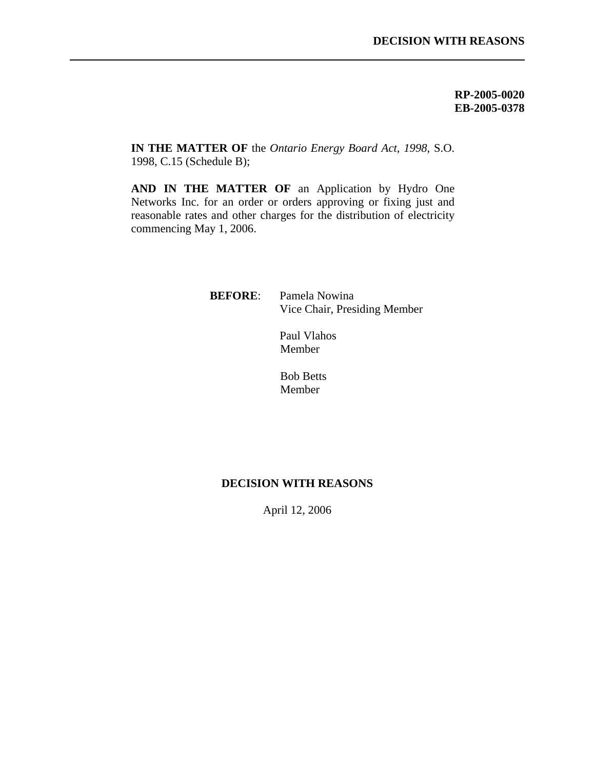**RP-2005-0020 EB-2005-0378**

**IN THE MATTER OF** the *Ontario Energy Board Act, 1998,* S.O. 1998, C.15 (Schedule B);

l

**AND IN THE MATTER OF** an Application by Hydro One Networks Inc. for an order or orders approving or fixing just and reasonable rates and other charges for the distribution of electricity commencing May 1, 2006.

> **BEFORE**: Pamela Nowina Vice Chair, Presiding Member

> > Paul Vlahos Member

Bob Betts Member

### **DECISION WITH REASONS**

April 12, 2006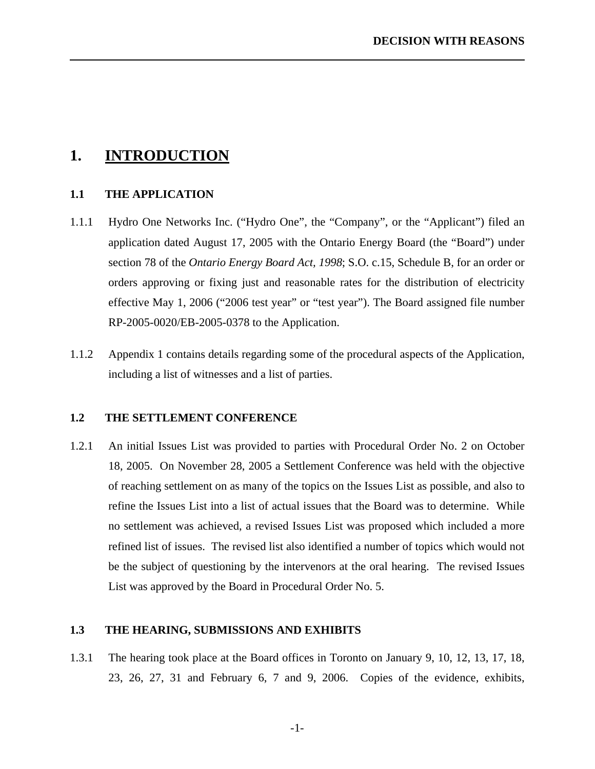### **1. INTRODUCTION**

<span id="page-4-0"></span>l

### **1.1 THE APPLICATION**

- 1.1.1 Hydro One Networks Inc. ("Hydro One", the "Company", or the "Applicant") filed an application dated August 17, 2005 with the Ontario Energy Board (the "Board") under section 78 of the *Ontario Energy Board Act, 1998*; S.O. c.15, Schedule B, for an order or orders approving or fixing just and reasonable rates for the distribution of electricity effective May 1, 2006 ("2006 test year" or "test year"). The Board assigned file number RP-2005-0020/EB-2005-0378 to the Application.
- 1.1.2 Appendix 1 contains details regarding some of the procedural aspects of the Application, including a list of witnesses and a list of parties.

### **1.2 THE SETTLEMENT CONFERENCE**

1.2.1 An initial Issues List was provided to parties with Procedural Order No. 2 on October 18, 2005. On November 28, 2005 a Settlement Conference was held with the objective of reaching settlement on as many of the topics on the Issues List as possible, and also to refine the Issues List into a list of actual issues that the Board was to determine. While no settlement was achieved, a revised Issues List was proposed which included a more refined list of issues. The revised list also identified a number of topics which would not be the subject of questioning by the intervenors at the oral hearing. The revised Issues List was approved by the Board in Procedural Order No. 5.

### **1.3 THE HEARING, SUBMISSIONS AND EXHIBITS**

1.3.1 The hearing took place at the Board offices in Toronto on January 9, 10, 12, 13, 17, 18, 23, 26, 27, 31 and February 6, 7 and 9, 2006. Copies of the evidence, exhibits,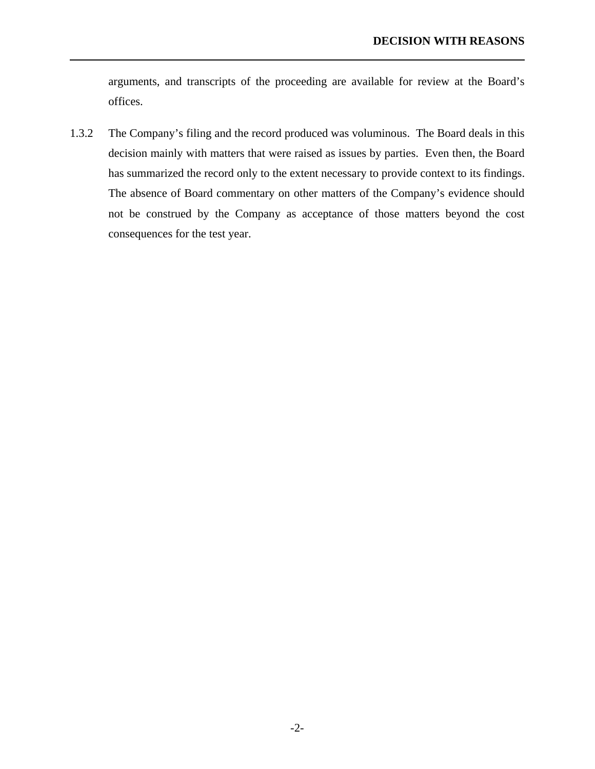arguments, and transcripts of the proceeding are available for review at the Board's offices.

l

1.3.2 The Company's filing and the record produced was voluminous. The Board deals in this decision mainly with matters that were raised as issues by parties. Even then, the Board has summarized the record only to the extent necessary to provide context to its findings. The absence of Board commentary on other matters of the Company's evidence should not be construed by the Company as acceptance of those matters beyond the cost consequences for the test year.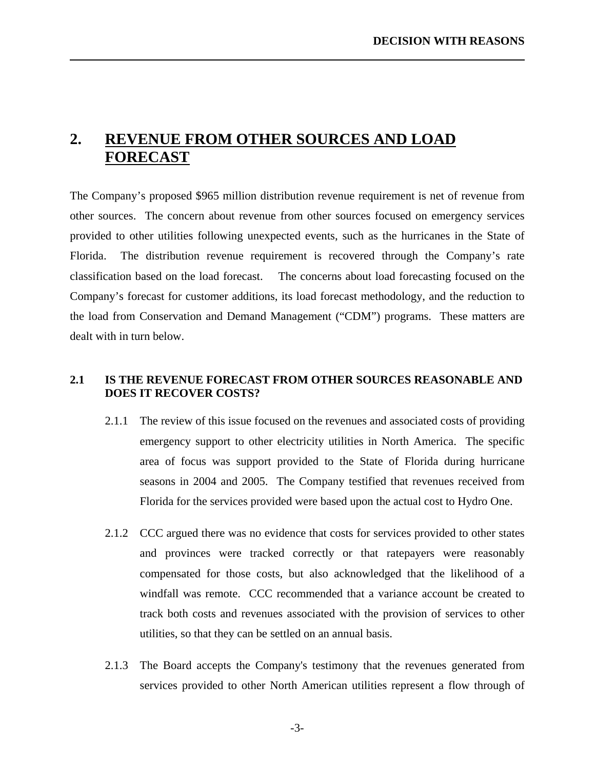# **2. REVENUE FROM OTHER SOURCES AND LOAD FORECAST**

<span id="page-6-0"></span>l

The Company's proposed \$965 million distribution revenue requirement is net of revenue from other sources. The concern about revenue from other sources focused on emergency services provided to other utilities following unexpected events, such as the hurricanes in the State of Florida. The distribution revenue requirement is recovered through the Company's rate classification based on the load forecast. The concerns about load forecasting focused on the Company's forecast for customer additions, its load forecast methodology, and the reduction to the load from Conservation and Demand Management ("CDM") programs. These matters are dealt with in turn below.

### **2.1 IS THE REVENUE FORECAST FROM OTHER SOURCES REASONABLE AND DOES IT RECOVER COSTS?**

- 2.1.1 The review of this issue focused on the revenues and associated costs of providing emergency support to other electricity utilities in North America. The specific area of focus was support provided to the State of Florida during hurricane seasons in 2004 and 2005. The Company testified that revenues received from Florida for the services provided were based upon the actual cost to Hydro One.
- 2.1.2 CCC argued there was no evidence that costs for services provided to other states and provinces were tracked correctly or that ratepayers were reasonably compensated for those costs, but also acknowledged that the likelihood of a windfall was remote. CCC recommended that a variance account be created to track both costs and revenues associated with the provision of services to other utilities, so that they can be settled on an annual basis.
- 2.1.3 The Board accepts the Company's testimony that the revenues generated from services provided to other North American utilities represent a flow through of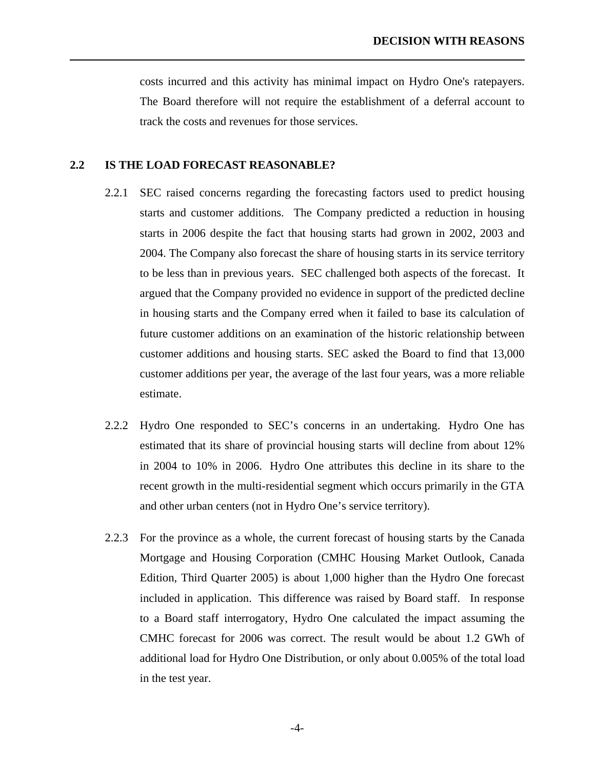<span id="page-7-0"></span>costs incurred and this activity has minimal impact on Hydro One's ratepayers. The Board therefore will not require the establishment of a deferral account to track the costs and revenues for those services.

#### **2.2 IS THE LOAD FORECAST REASONABLE?**

- 2.2.1 SEC raised concerns regarding the forecasting factors used to predict housing starts and customer additions. The Company predicted a reduction in housing starts in 2006 despite the fact that housing starts had grown in 2002, 2003 and 2004. The Company also forecast the share of housing starts in its service territory to be less than in previous years. SEC challenged both aspects of the forecast. It argued that the Company provided no evidence in support of the predicted decline in housing starts and the Company erred when it failed to base its calculation of future customer additions on an examination of the historic relationship between customer additions and housing starts. SEC asked the Board to find that 13,000 customer additions per year, the average of the last four years, was a more reliable estimate.
- 2.2.2 Hydro One responded to SEC's concerns in an undertaking. Hydro One has estimated that its share of provincial housing starts will decline from about 12% in 2004 to 10% in 2006. Hydro One attributes this decline in its share to the recent growth in the multi-residential segment which occurs primarily in the GTA and other urban centers (not in Hydro One's service territory).
- 2.2.3 For the province as a whole, the current forecast of housing starts by the Canada Mortgage and Housing Corporation (CMHC Housing Market Outlook, Canada Edition, Third Quarter 2005) is about 1,000 higher than the Hydro One forecast included in application. This difference was raised by Board staff. In response to a Board staff interrogatory, Hydro One calculated the impact assuming the CMHC forecast for 2006 was correct. The result would be about 1.2 GWh of additional load for Hydro One Distribution, or only about 0.005% of the total load in the test year.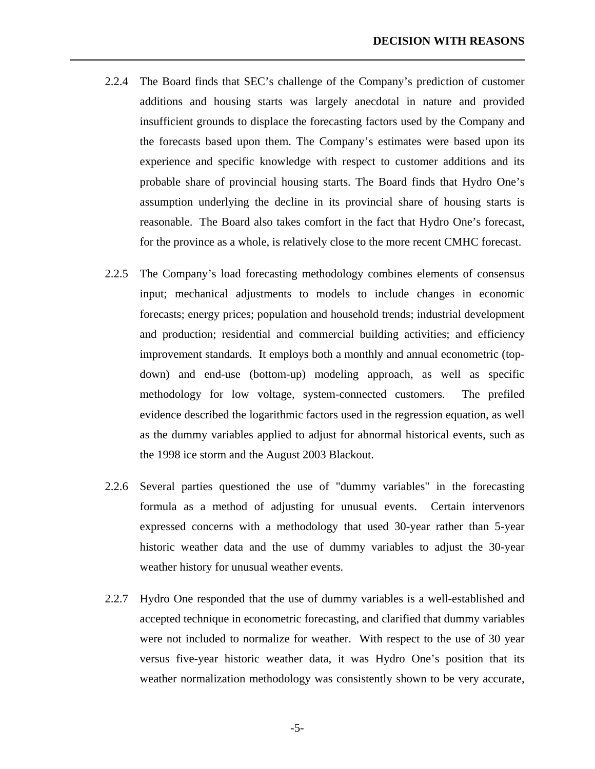2.2.4 The Board finds that SEC's challenge of the Company's prediction of customer additions and housing starts was largely anecdotal in nature and provided insufficient grounds to displace the forecasting factors used by the Company and the forecasts based upon them. The Company's estimates were based upon its experience and specific knowledge with respect to customer additions and its probable share of provincial housing starts. The Board finds that Hydro One's assumption underlying the decline in its provincial share of housing starts is reasonable. The Board also takes comfort in the fact that Hydro One's forecast, for the province as a whole, is relatively close to the more recent CMHC forecast.

- 2.2.5 The Company's load forecasting methodology combines elements of consensus input; mechanical adjustments to models to include changes in economic forecasts; energy prices; population and household trends; industrial development and production; residential and commercial building activities; and efficiency improvement standards. It employs both a monthly and annual econometric (topdown) and end-use (bottom-up) modeling approach, as well as specific methodology for low voltage, system-connected customers. The prefiled evidence described the logarithmic factors used in the regression equation, as well as the dummy variables applied to adjust for abnormal historical events, such as the 1998 ice storm and the August 2003 Blackout.
- 2.2.6 Several parties questioned the use of "dummy variables" in the forecasting formula as a method of adjusting for unusual events. Certain intervenors expressed concerns with a methodology that used 30-year rather than 5-year historic weather data and the use of dummy variables to adjust the 30-year weather history for unusual weather events.
- 2.2.7 Hydro One responded that the use of dummy variables is a well-established and accepted technique in econometric forecasting, and clarified that dummy variables were not included to normalize for weather. With respect to the use of 30 year versus five-year historic weather data, it was Hydro One's position that its weather normalization methodology was consistently shown to be very accurate,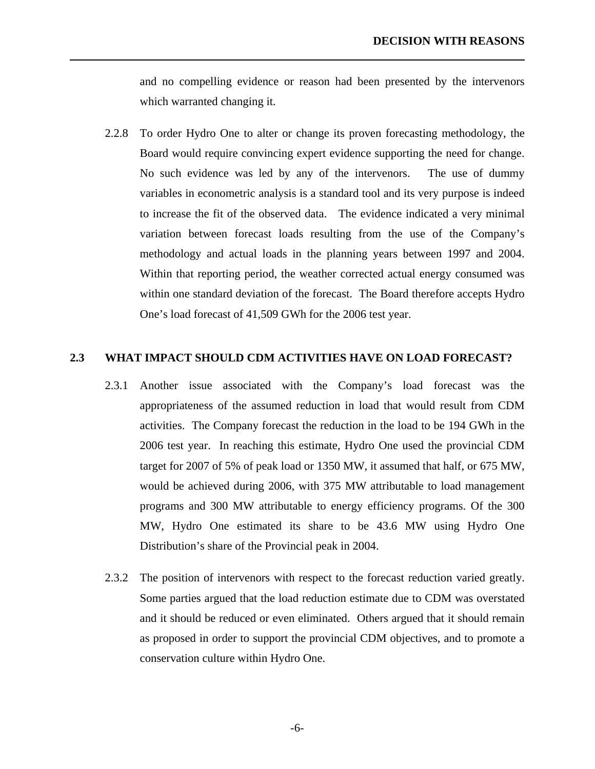and no compelling evidence or reason had been presented by the intervenors which warranted changing it.

<span id="page-9-0"></span>l

2.2.8 To order Hydro One to alter or change its proven forecasting methodology, the Board would require convincing expert evidence supporting the need for change. No such evidence was led by any of the intervenors. The use of dummy variables in econometric analysis is a standard tool and its very purpose is indeed to increase the fit of the observed data. The evidence indicated a very minimal variation between forecast loads resulting from the use of the Company's methodology and actual loads in the planning years between 1997 and 2004. Within that reporting period, the weather corrected actual energy consumed was within one standard deviation of the forecast. The Board therefore accepts Hydro One's load forecast of 41,509 GWh for the 2006 test year.

#### **2.3 WHAT IMPACT SHOULD CDM ACTIVITIES HAVE ON LOAD FORECAST?**

- 2.3.1 Another issue associated with the Company's load forecast was the appropriateness of the assumed reduction in load that would result from CDM activities. The Company forecast the reduction in the load to be 194 GWh in the 2006 test year. In reaching this estimate, Hydro One used the provincial CDM target for 2007 of 5% of peak load or 1350 MW, it assumed that half, or 675 MW, would be achieved during 2006, with 375 MW attributable to load management programs and 300 MW attributable to energy efficiency programs. Of the 300 MW, Hydro One estimated its share to be 43.6 MW using Hydro One Distribution's share of the Provincial peak in 2004.
- 2.3.2 The position of intervenors with respect to the forecast reduction varied greatly. Some parties argued that the load reduction estimate due to CDM was overstated and it should be reduced or even eliminated. Others argued that it should remain as proposed in order to support the provincial CDM objectives, and to promote a conservation culture within Hydro One.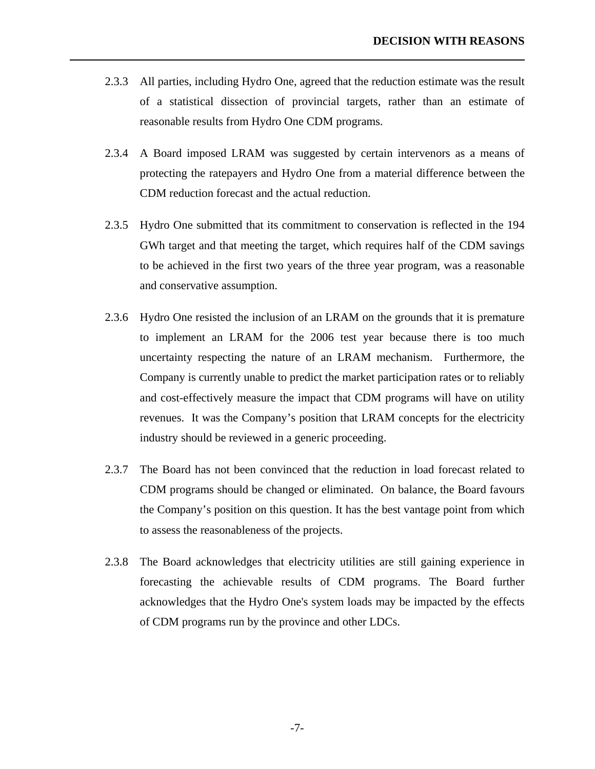2.3.3 All parties, including Hydro One, agreed that the reduction estimate was the result of a statistical dissection of provincial targets, rather than an estimate of reasonable results from Hydro One CDM programs.

- 2.3.4 A Board imposed LRAM was suggested by certain intervenors as a means of protecting the ratepayers and Hydro One from a material difference between the CDM reduction forecast and the actual reduction.
- 2.3.5 Hydro One submitted that its commitment to conservation is reflected in the 194 GWh target and that meeting the target, which requires half of the CDM savings to be achieved in the first two years of the three year program, was a reasonable and conservative assumption.
- 2.3.6 Hydro One resisted the inclusion of an LRAM on the grounds that it is premature to implement an LRAM for the 2006 test year because there is too much uncertainty respecting the nature of an LRAM mechanism. Furthermore, the Company is currently unable to predict the market participation rates or to reliably and cost-effectively measure the impact that CDM programs will have on utility revenues. It was the Company's position that LRAM concepts for the electricity industry should be reviewed in a generic proceeding.
- 2.3.7 The Board has not been convinced that the reduction in load forecast related to CDM programs should be changed or eliminated. On balance, the Board favours the Company's position on this question. It has the best vantage point from which to assess the reasonableness of the projects.
- 2.3.8 The Board acknowledges that electricity utilities are still gaining experience in forecasting the achievable results of CDM programs. The Board further acknowledges that the Hydro One's system loads may be impacted by the effects of CDM programs run by the province and other LDCs.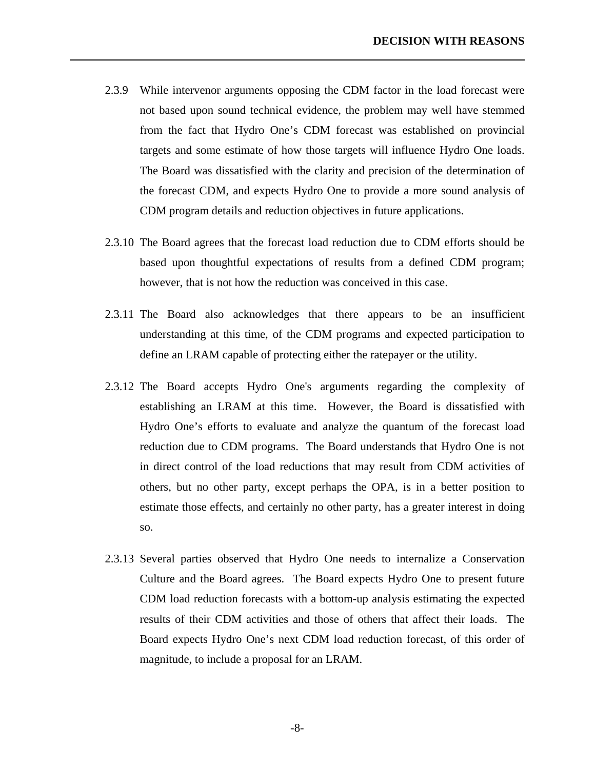2.3.9 While intervenor arguments opposing the CDM factor in the load forecast were not based upon sound technical evidence, the problem may well have stemmed from the fact that Hydro One's CDM forecast was established on provincial targets and some estimate of how those targets will influence Hydro One loads. The Board was dissatisfied with the clarity and precision of the determination of the forecast CDM, and expects Hydro One to provide a more sound analysis of CDM program details and reduction objectives in future applications.

- 2.3.10 The Board agrees that the forecast load reduction due to CDM efforts should be based upon thoughtful expectations of results from a defined CDM program; however, that is not how the reduction was conceived in this case.
- 2.3.11 The Board also acknowledges that there appears to be an insufficient understanding at this time, of the CDM programs and expected participation to define an LRAM capable of protecting either the ratepayer or the utility.
- 2.3.12 The Board accepts Hydro One's arguments regarding the complexity of establishing an LRAM at this time. However, the Board is dissatisfied with Hydro One's efforts to evaluate and analyze the quantum of the forecast load reduction due to CDM programs. The Board understands that Hydro One is not in direct control of the load reductions that may result from CDM activities of others, but no other party, except perhaps the OPA, is in a better position to estimate those effects, and certainly no other party, has a greater interest in doing so.
- 2.3.13 Several parties observed that Hydro One needs to internalize a Conservation Culture and the Board agrees. The Board expects Hydro One to present future CDM load reduction forecasts with a bottom-up analysis estimating the expected results of their CDM activities and those of others that affect their loads. The Board expects Hydro One's next CDM load reduction forecast, of this order of magnitude, to include a proposal for an LRAM.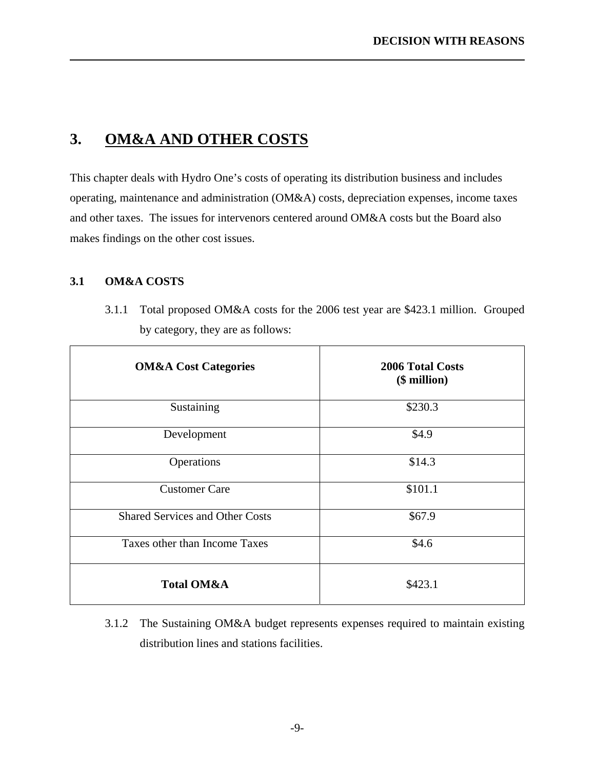## **3. OM&A AND OTHER COSTS**

This chapter deals with Hydro One's costs of operating its distribution business and includes operating, maintenance and administration (OM&A) costs, depreciation expenses, income taxes and other taxes. The issues for intervenors centered around OM&A costs but the Board also makes findings on the other cost issues.

### **3.1 OM&A COSTS**

<span id="page-12-0"></span>l

3.1.1 Total proposed OM&A costs for the 2006 test year are \$423.1 million. Grouped by category, they are as follows:

| <b>OM&amp;A Cost Categories</b>        | <b>2006 Total Costs</b><br>(\$ million) |
|----------------------------------------|-----------------------------------------|
| Sustaining                             | \$230.3                                 |
| Development                            | \$4.9                                   |
| Operations                             | \$14.3                                  |
| <b>Customer Care</b>                   | \$101.1                                 |
| <b>Shared Services and Other Costs</b> | \$67.9                                  |
| Taxes other than Income Taxes          | \$4.6                                   |
| <b>Total OM&amp;A</b>                  | \$423.1                                 |

3.1.2 The Sustaining OM&A budget represents expenses required to maintain existing distribution lines and stations facilities.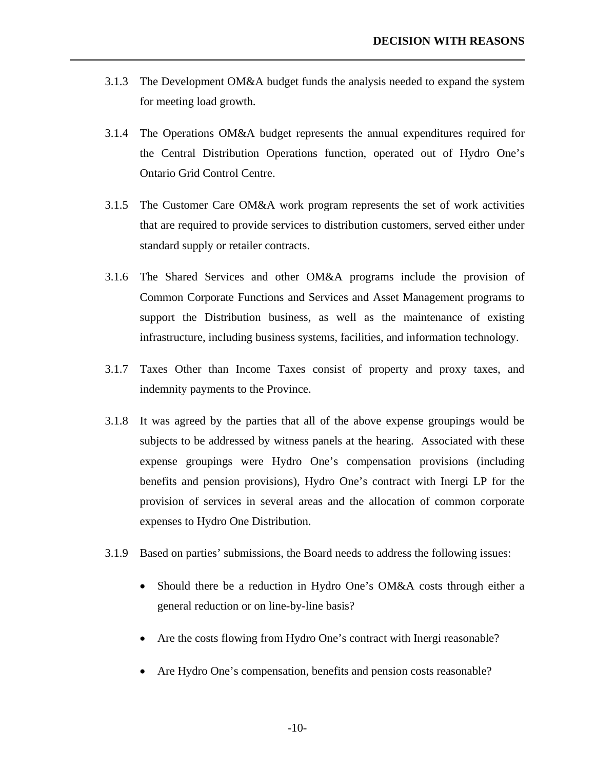3.1.3 The Development OM&A budget funds the analysis needed to expand the system for meeting load growth.

- 3.1.4 The Operations OM&A budget represents the annual expenditures required for the Central Distribution Operations function, operated out of Hydro One's Ontario Grid Control Centre.
- 3.1.5 The Customer Care OM&A work program represents the set of work activities that are required to provide services to distribution customers, served either under standard supply or retailer contracts.
- 3.1.6 The Shared Services and other OM&A programs include the provision of Common Corporate Functions and Services and Asset Management programs to support the Distribution business, as well as the maintenance of existing infrastructure, including business systems, facilities, and information technology.
- 3.1.7 Taxes Other than Income Taxes consist of property and proxy taxes, and indemnity payments to the Province.
- 3.1.8 It was agreed by the parties that all of the above expense groupings would be subjects to be addressed by witness panels at the hearing. Associated with these expense groupings were Hydro One's compensation provisions (including benefits and pension provisions), Hydro One's contract with Inergi LP for the provision of services in several areas and the allocation of common corporate expenses to Hydro One Distribution.
- 3.1.9 Based on parties' submissions, the Board needs to address the following issues:
	- Should there be a reduction in Hydro One's OM&A costs through either a general reduction or on line-by-line basis?
	- Are the costs flowing from Hydro One's contract with Inergi reasonable?
	- Are Hydro One's compensation, benefits and pension costs reasonable?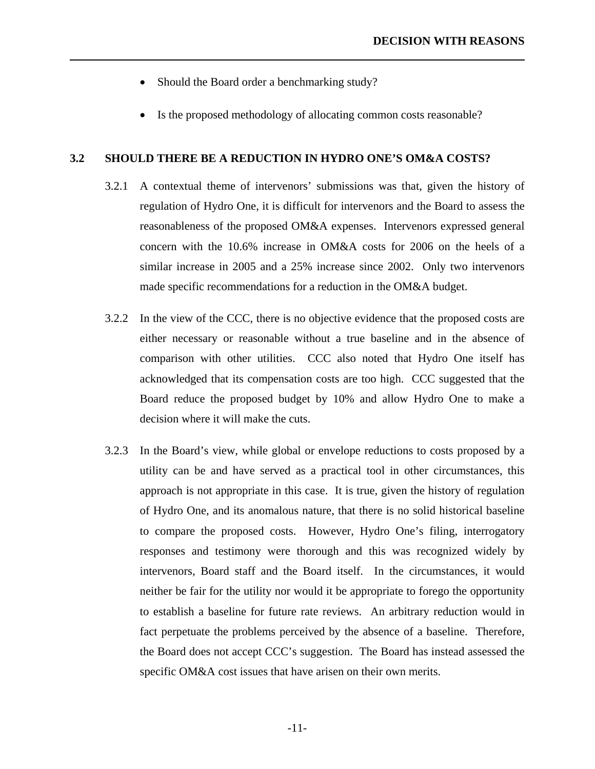• Should the Board order a benchmarking study?

<span id="page-14-0"></span>l

• Is the proposed methodology of allocating common costs reasonable?

### **3.2 SHOULD THERE BE A REDUCTION IN HYDRO ONE'S OM&A COSTS?**

- 3.2.1 A contextual theme of intervenors' submissions was that, given the history of regulation of Hydro One, it is difficult for intervenors and the Board to assess the reasonableness of the proposed OM&A expenses. Intervenors expressed general concern with the 10.6% increase in OM&A costs for 2006 on the heels of a similar increase in 2005 and a 25% increase since 2002. Only two intervenors made specific recommendations for a reduction in the OM&A budget.
- 3.2.2 In the view of the CCC, there is no objective evidence that the proposed costs are either necessary or reasonable without a true baseline and in the absence of comparison with other utilities. CCC also noted that Hydro One itself has acknowledged that its compensation costs are too high. CCC suggested that the Board reduce the proposed budget by 10% and allow Hydro One to make a decision where it will make the cuts.
- 3.2.3 In the Board's view, while global or envelope reductions to costs proposed by a utility can be and have served as a practical tool in other circumstances, this approach is not appropriate in this case. It is true, given the history of regulation of Hydro One, and its anomalous nature, that there is no solid historical baseline to compare the proposed costs. However, Hydro One's filing, interrogatory responses and testimony were thorough and this was recognized widely by intervenors, Board staff and the Board itself. In the circumstances, it would neither be fair for the utility nor would it be appropriate to forego the opportunity to establish a baseline for future rate reviews. An arbitrary reduction would in fact perpetuate the problems perceived by the absence of a baseline. Therefore, the Board does not accept CCC's suggestion. The Board has instead assessed the specific OM&A cost issues that have arisen on their own merits.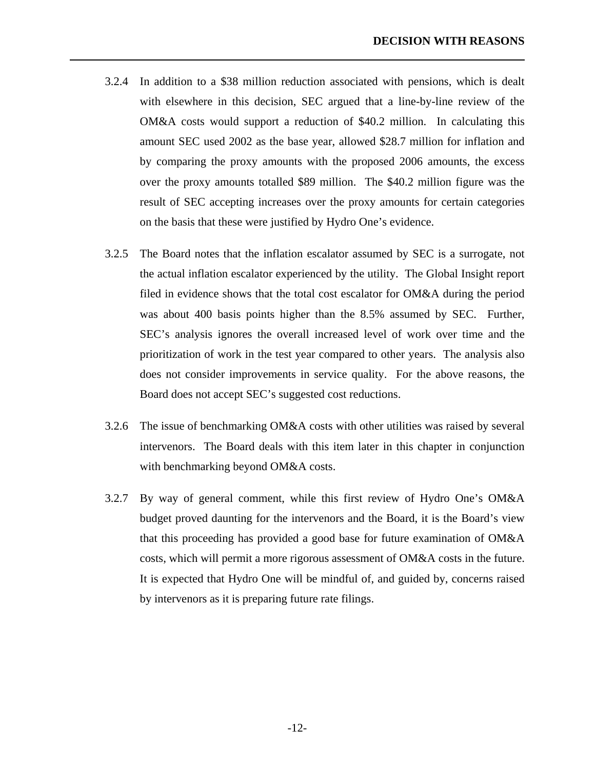3.2.4 In addition to a \$38 million reduction associated with pensions, which is dealt with elsewhere in this decision, SEC argued that a line-by-line review of the OM&A costs would support a reduction of \$40.2 million. In calculating this amount SEC used 2002 as the base year, allowed \$28.7 million for inflation and by comparing the proxy amounts with the proposed 2006 amounts, the excess over the proxy amounts totalled \$89 million. The \$40.2 million figure was the result of SEC accepting increases over the proxy amounts for certain categories on the basis that these were justified by Hydro One's evidence.

- 3.2.5 The Board notes that the inflation escalator assumed by SEC is a surrogate, not the actual inflation escalator experienced by the utility. The Global Insight report filed in evidence shows that the total cost escalator for OM&A during the period was about 400 basis points higher than the 8.5% assumed by SEC. Further, SEC's analysis ignores the overall increased level of work over time and the prioritization of work in the test year compared to other years. The analysis also does not consider improvements in service quality. For the above reasons, the Board does not accept SEC's suggested cost reductions.
- 3.2.6 The issue of benchmarking OM&A costs with other utilities was raised by several intervenors. The Board deals with this item later in this chapter in conjunction with benchmarking beyond OM&A costs.
- 3.2.7 By way of general comment, while this first review of Hydro One's OM&A budget proved daunting for the intervenors and the Board, it is the Board's view that this proceeding has provided a good base for future examination of OM&A costs, which will permit a more rigorous assessment of OM&A costs in the future. It is expected that Hydro One will be mindful of, and guided by, concerns raised by intervenors as it is preparing future rate filings.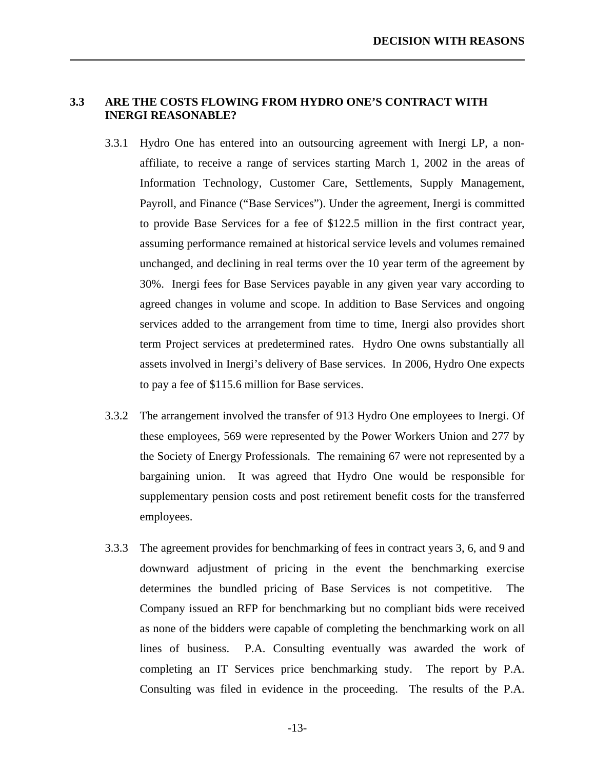### <span id="page-16-0"></span>**3.3 ARE THE COSTS FLOWING FROM HYDRO ONE'S CONTRACT WITH INERGI REASONABLE?**

- 3.3.1 Hydro One has entered into an outsourcing agreement with Inergi LP, a nonaffiliate, to receive a range of services starting March 1, 2002 in the areas of Information Technology, Customer Care, Settlements, Supply Management, Payroll, and Finance ("Base Services"). Under the agreement, Inergi is committed to provide Base Services for a fee of \$122.5 million in the first contract year, assuming performance remained at historical service levels and volumes remained unchanged, and declining in real terms over the 10 year term of the agreement by 30%. Inergi fees for Base Services payable in any given year vary according to agreed changes in volume and scope. In addition to Base Services and ongoing services added to the arrangement from time to time, Inergi also provides short term Project services at predetermined rates. Hydro One owns substantially all assets involved in Inergi's delivery of Base services. In 2006, Hydro One expects to pay a fee of \$115.6 million for Base services.
- 3.3.2 The arrangement involved the transfer of 913 Hydro One employees to Inergi. Of these employees, 569 were represented by the Power Workers Union and 277 by the Society of Energy Professionals. The remaining 67 were not represented by a bargaining union. It was agreed that Hydro One would be responsible for supplementary pension costs and post retirement benefit costs for the transferred employees.
- 3.3.3 The agreement provides for benchmarking of fees in contract years 3, 6, and 9 and downward adjustment of pricing in the event the benchmarking exercise determines the bundled pricing of Base Services is not competitive. The Company issued an RFP for benchmarking but no compliant bids were received as none of the bidders were capable of completing the benchmarking work on all lines of business. P.A. Consulting eventually was awarded the work of completing an IT Services price benchmarking study. The report by P.A. Consulting was filed in evidence in the proceeding. The results of the P.A.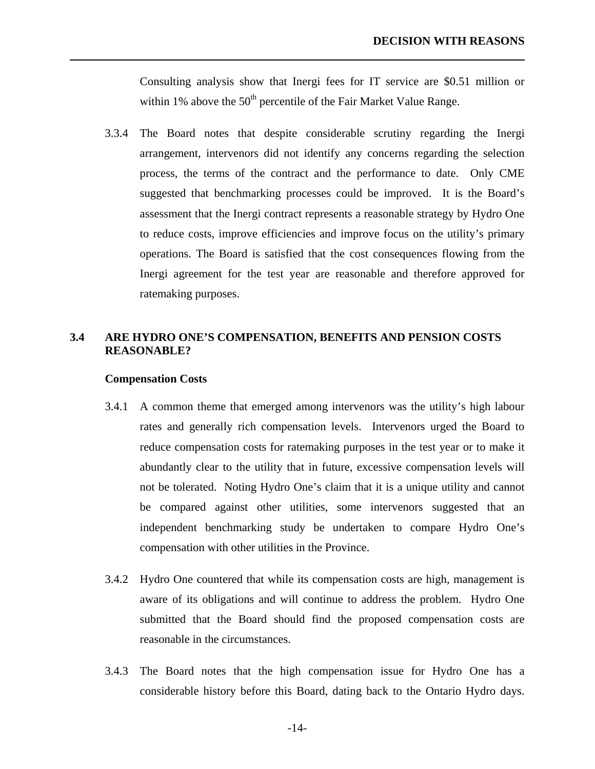<span id="page-17-0"></span>Consulting analysis show that Inergi fees for IT service are \$0.51 million or within 1% above the  $50<sup>th</sup>$  percentile of the Fair Market Value Range.

3.3.4 The Board notes that despite considerable scrutiny regarding the Inergi arrangement, intervenors did not identify any concerns regarding the selection process, the terms of the contract and the performance to date. Only CME suggested that benchmarking processes could be improved. It is the Board's assessment that the Inergi contract represents a reasonable strategy by Hydro One to reduce costs, improve efficiencies and improve focus on the utility's primary operations. The Board is satisfied that the cost consequences flowing from the Inergi agreement for the test year are reasonable and therefore approved for ratemaking purposes.

### **3.4 ARE HYDRO ONE'S COMPENSATION, BENEFITS AND PENSION COSTS REASONABLE?**

#### **Compensation Costs**

- 3.4.1 A common theme that emerged among intervenors was the utility's high labour rates and generally rich compensation levels. Intervenors urged the Board to reduce compensation costs for ratemaking purposes in the test year or to make it abundantly clear to the utility that in future, excessive compensation levels will not be tolerated. Noting Hydro One's claim that it is a unique utility and cannot be compared against other utilities, some intervenors suggested that an independent benchmarking study be undertaken to compare Hydro One's compensation with other utilities in the Province.
- 3.4.2 Hydro One countered that while its compensation costs are high, management is aware of its obligations and will continue to address the problem. Hydro One submitted that the Board should find the proposed compensation costs are reasonable in the circumstances.
- 3.4.3 The Board notes that the high compensation issue for Hydro One has a considerable history before this Board, dating back to the Ontario Hydro days.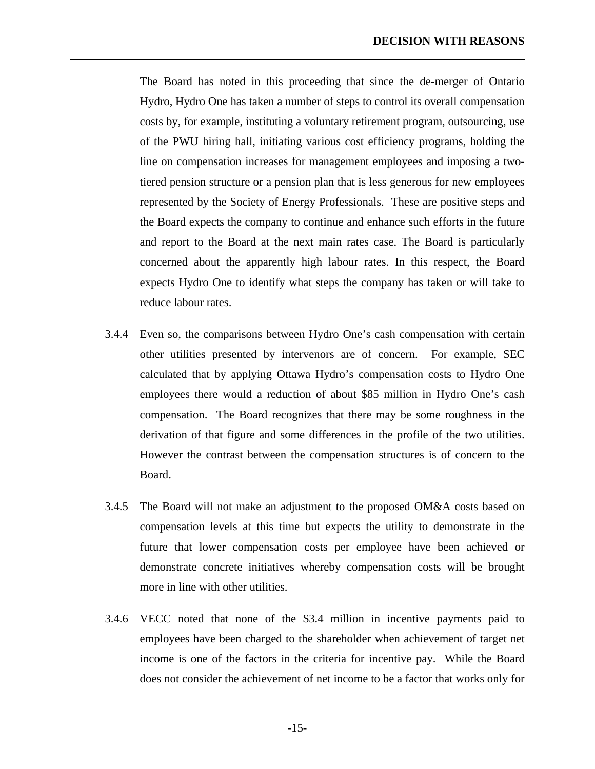The Board has noted in this proceeding that since the de-merger of Ontario Hydro, Hydro One has taken a number of steps to control its overall compensation costs by, for example, instituting a voluntary retirement program, outsourcing, use of the PWU hiring hall, initiating various cost efficiency programs, holding the line on compensation increases for management employees and imposing a twotiered pension structure or a pension plan that is less generous for new employees represented by the Society of Energy Professionals. These are positive steps and the Board expects the company to continue and enhance such efforts in the future and report to the Board at the next main rates case. The Board is particularly concerned about the apparently high labour rates. In this respect, the Board expects Hydro One to identify what steps the company has taken or will take to reduce labour rates.

- 3.4.4 Even so, the comparisons between Hydro One's cash compensation with certain other utilities presented by intervenors are of concern. For example, SEC calculated that by applying Ottawa Hydro's compensation costs to Hydro One employees there would a reduction of about \$85 million in Hydro One's cash compensation. The Board recognizes that there may be some roughness in the derivation of that figure and some differences in the profile of the two utilities. However the contrast between the compensation structures is of concern to the Board.
- 3.4.5 The Board will not make an adjustment to the proposed OM&A costs based on compensation levels at this time but expects the utility to demonstrate in the future that lower compensation costs per employee have been achieved or demonstrate concrete initiatives whereby compensation costs will be brought more in line with other utilities.
- 3.4.6 VECC noted that none of the \$3.4 million in incentive payments paid to employees have been charged to the shareholder when achievement of target net income is one of the factors in the criteria for incentive pay. While the Board does not consider the achievement of net income to be a factor that works only for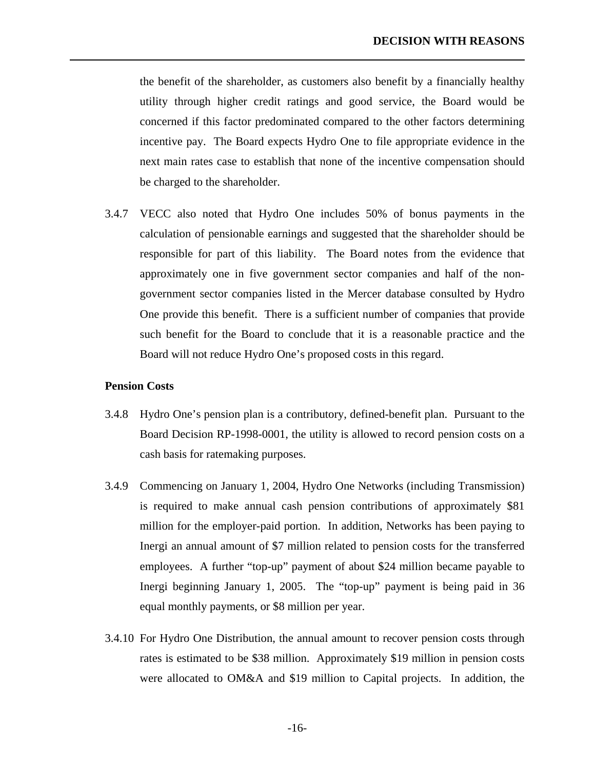the benefit of the shareholder, as customers also benefit by a financially healthy utility through higher credit ratings and good service, the Board would be concerned if this factor predominated compared to the other factors determining incentive pay. The Board expects Hydro One to file appropriate evidence in the next main rates case to establish that none of the incentive compensation should be charged to the shareholder.

3.4.7 VECC also noted that Hydro One includes 50% of bonus payments in the calculation of pensionable earnings and suggested that the shareholder should be responsible for part of this liability. The Board notes from the evidence that approximately one in five government sector companies and half of the nongovernment sector companies listed in the Mercer database consulted by Hydro One provide this benefit. There is a sufficient number of companies that provide such benefit for the Board to conclude that it is a reasonable practice and the Board will not reduce Hydro One's proposed costs in this regard.

#### **Pension Costs**

- 3.4.8 Hydro One's pension plan is a contributory, defined-benefit plan. Pursuant to the Board Decision RP-1998-0001, the utility is allowed to record pension costs on a cash basis for ratemaking purposes.
- 3.4.9 Commencing on January 1, 2004, Hydro One Networks (including Transmission) is required to make annual cash pension contributions of approximately \$81 million for the employer-paid portion. In addition, Networks has been paying to Inergi an annual amount of \$7 million related to pension costs for the transferred employees. A further "top-up" payment of about \$24 million became payable to Inergi beginning January 1, 2005. The "top-up" payment is being paid in 36 equal monthly payments, or \$8 million per year.
- 3.4.10 For Hydro One Distribution, the annual amount to recover pension costs through rates is estimated to be \$38 million. Approximately \$19 million in pension costs were allocated to OM&A and \$19 million to Capital projects. In addition, the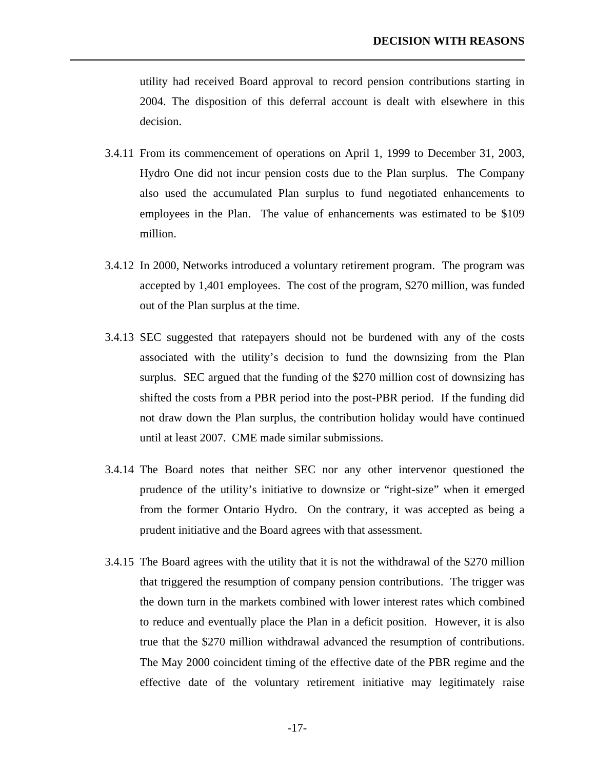utility had received Board approval to record pension contributions starting in 2004. The disposition of this deferral account is dealt with elsewhere in this decision.

- 3.4.11 From its commencement of operations on April 1, 1999 to December 31, 2003, Hydro One did not incur pension costs due to the Plan surplus. The Company also used the accumulated Plan surplus to fund negotiated enhancements to employees in the Plan. The value of enhancements was estimated to be \$109 million.
- 3.4.12 In 2000, Networks introduced a voluntary retirement program. The program was accepted by 1,401 employees. The cost of the program, \$270 million, was funded out of the Plan surplus at the time.
- 3.4.13 SEC suggested that ratepayers should not be burdened with any of the costs associated with the utility's decision to fund the downsizing from the Plan surplus. SEC argued that the funding of the \$270 million cost of downsizing has shifted the costs from a PBR period into the post-PBR period. If the funding did not draw down the Plan surplus, the contribution holiday would have continued until at least 2007. CME made similar submissions.
- 3.4.14 The Board notes that neither SEC nor any other intervenor questioned the prudence of the utility's initiative to downsize or "right-size" when it emerged from the former Ontario Hydro. On the contrary, it was accepted as being a prudent initiative and the Board agrees with that assessment.
- 3.4.15 The Board agrees with the utility that it is not the withdrawal of the \$270 million that triggered the resumption of company pension contributions. The trigger was the down turn in the markets combined with lower interest rates which combined to reduce and eventually place the Plan in a deficit position. However, it is also true that the \$270 million withdrawal advanced the resumption of contributions. The May 2000 coincident timing of the effective date of the PBR regime and the effective date of the voluntary retirement initiative may legitimately raise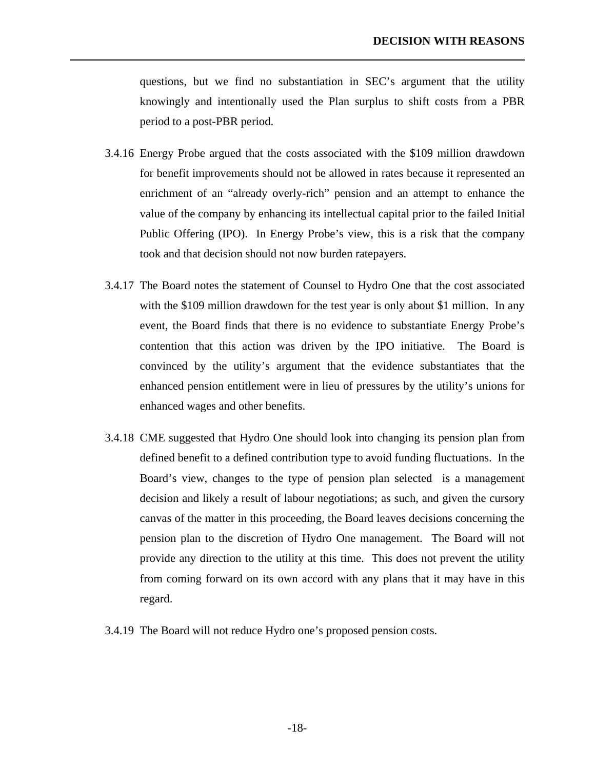questions, but we find no substantiation in SEC's argument that the utility knowingly and intentionally used the Plan surplus to shift costs from a PBR period to a post-PBR period.

- 3.4.16 Energy Probe argued that the costs associated with the \$109 million drawdown for benefit improvements should not be allowed in rates because it represented an enrichment of an "already overly-rich" pension and an attempt to enhance the value of the company by enhancing its intellectual capital prior to the failed Initial Public Offering (IPO). In Energy Probe's view, this is a risk that the company took and that decision should not now burden ratepayers.
- 3.4.17 The Board notes the statement of Counsel to Hydro One that the cost associated with the \$109 million drawdown for the test year is only about \$1 million. In any event, the Board finds that there is no evidence to substantiate Energy Probe's contention that this action was driven by the IPO initiative. The Board is convinced by the utility's argument that the evidence substantiates that the enhanced pension entitlement were in lieu of pressures by the utility's unions for enhanced wages and other benefits.
- 3.4.18 CME suggested that Hydro One should look into changing its pension plan from defined benefit to a defined contribution type to avoid funding fluctuations. In the Board's view, changes to the type of pension plan selected is a management decision and likely a result of labour negotiations; as such, and given the cursory canvas of the matter in this proceeding, the Board leaves decisions concerning the pension plan to the discretion of Hydro One management. The Board will not provide any direction to the utility at this time. This does not prevent the utility from coming forward on its own accord with any plans that it may have in this regard.
- 3.4.19 The Board will not reduce Hydro one's proposed pension costs.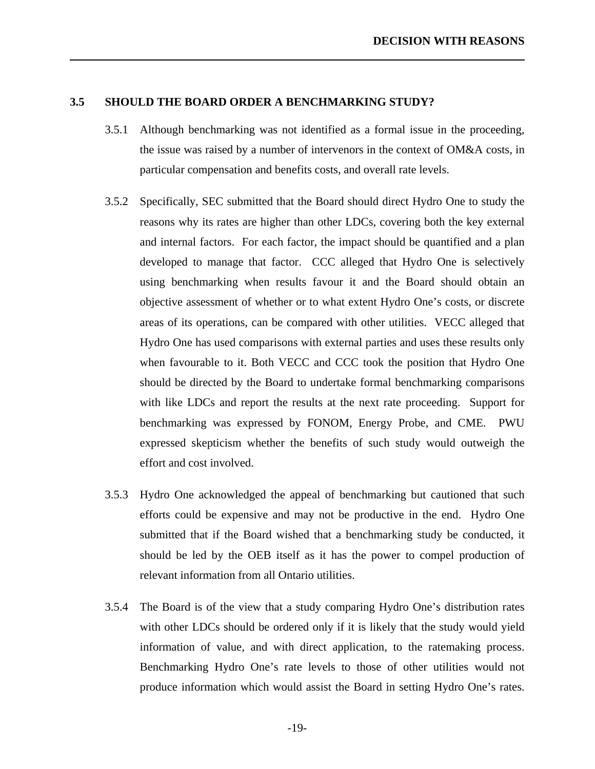### <span id="page-22-0"></span>**3.5 SHOULD THE BOARD ORDER A BENCHMARKING STUDY?**

- 3.5.1 Although benchmarking was not identified as a formal issue in the proceeding, the issue was raised by a number of intervenors in the context of OM&A costs, in particular compensation and benefits costs, and overall rate levels.
- 3.5.2 Specifically, SEC submitted that the Board should direct Hydro One to study the reasons why its rates are higher than other LDCs, covering both the key external and internal factors. For each factor, the impact should be quantified and a plan developed to manage that factor. CCC alleged that Hydro One is selectively using benchmarking when results favour it and the Board should obtain an objective assessment of whether or to what extent Hydro One's costs, or discrete areas of its operations, can be compared with other utilities. VECC alleged that Hydro One has used comparisons with external parties and uses these results only when favourable to it. Both VECC and CCC took the position that Hydro One should be directed by the Board to undertake formal benchmarking comparisons with like LDCs and report the results at the next rate proceeding. Support for benchmarking was expressed by FONOM, Energy Probe, and CME. PWU expressed skepticism whether the benefits of such study would outweigh the effort and cost involved.
- 3.5.3 Hydro One acknowledged the appeal of benchmarking but cautioned that such efforts could be expensive and may not be productive in the end. Hydro One submitted that if the Board wished that a benchmarking study be conducted, it should be led by the OEB itself as it has the power to compel production of relevant information from all Ontario utilities.
- 3.5.4 The Board is of the view that a study comparing Hydro One's distribution rates with other LDCs should be ordered only if it is likely that the study would yield information of value, and with direct application, to the ratemaking process. Benchmarking Hydro One's rate levels to those of other utilities would not produce information which would assist the Board in setting Hydro One's rates.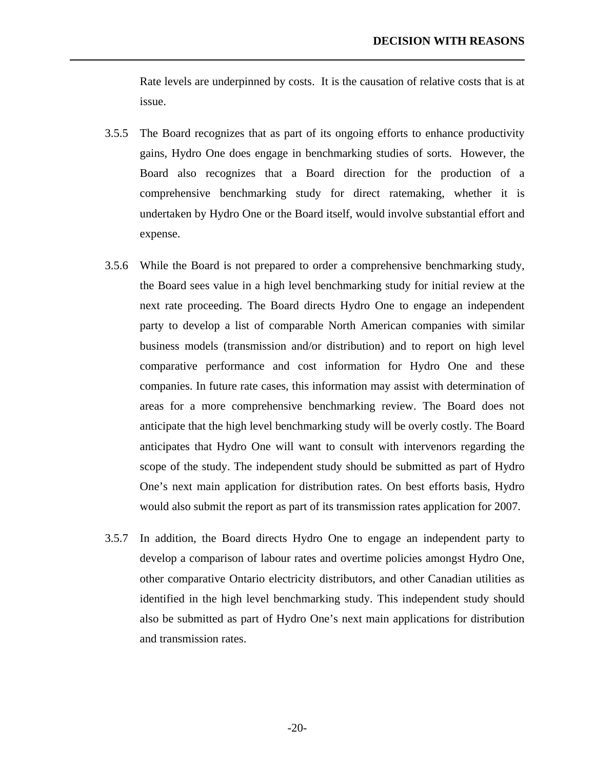Rate levels are underpinned by costs. It is the causation of relative costs that is at issue.

- 3.5.5 The Board recognizes that as part of its ongoing efforts to enhance productivity gains, Hydro One does engage in benchmarking studies of sorts. However, the Board also recognizes that a Board direction for the production of a comprehensive benchmarking study for direct ratemaking, whether it is undertaken by Hydro One or the Board itself, would involve substantial effort and expense.
- 3.5.6 While the Board is not prepared to order a comprehensive benchmarking study, the Board sees value in a high level benchmarking study for initial review at the next rate proceeding. The Board directs Hydro One to engage an independent party to develop a list of comparable North American companies with similar business models (transmission and/or distribution) and to report on high level comparative performance and cost information for Hydro One and these companies. In future rate cases, this information may assist with determination of areas for a more comprehensive benchmarking review. The Board does not anticipate that the high level benchmarking study will be overly costly. The Board anticipates that Hydro One will want to consult with intervenors regarding the scope of the study. The independent study should be submitted as part of Hydro One's next main application for distribution rates. On best efforts basis, Hydro would also submit the report as part of its transmission rates application for 2007.
- 3.5.7 In addition, the Board directs Hydro One to engage an independent party to develop a comparison of labour rates and overtime policies amongst Hydro One, other comparative Ontario electricity distributors, and other Canadian utilities as identified in the high level benchmarking study. This independent study should also be submitted as part of Hydro One's next main applications for distribution and transmission rates.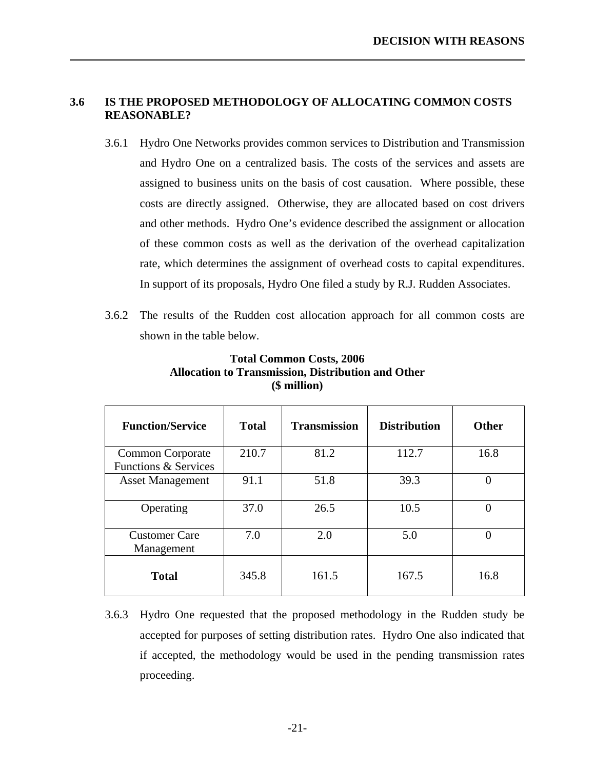### **3.6 IS THE PROPOSED METHODOLOGY OF ALLOCATING COMMON COSTS REASONABLE?**

<span id="page-24-0"></span>l

- 3.6.1 Hydro One Networks provides common services to Distribution and Transmission and Hydro One on a centralized basis. The costs of the services and assets are assigned to business units on the basis of cost causation. Where possible, these costs are directly assigned. Otherwise, they are allocated based on cost drivers and other methods. Hydro One's evidence described the assignment or allocation of these common costs as well as the derivation of the overhead capitalization rate, which determines the assignment of overhead costs to capital expenditures. In support of its proposals, Hydro One filed a study by R.J. Rudden Associates.
- 3.6.2 The results of the Rudden cost allocation approach for all common costs are shown in the table below.

| <b>Function/Service</b>                                    | <b>Total</b> | <b>Transmission</b> | <b>Distribution</b> | <b>Other</b>   |
|------------------------------------------------------------|--------------|---------------------|---------------------|----------------|
| <b>Common Corporate</b><br><b>Functions &amp; Services</b> | 210.7        | 81.2                | 112.7               | 16.8           |
| <b>Asset Management</b>                                    | 91.1         | 51.8                | 39.3                | 0              |
| Operating                                                  | 37.0         | 26.5                | 10.5                | $\overline{0}$ |
| <b>Customer Care</b><br>Management                         | 7.0          | 2.0                 | 5.0                 | $\theta$       |
| <b>Total</b>                                               | 345.8        | 161.5               | 167.5               | 16.8           |

### **Total Common Costs, 2006 Allocation to Transmission, Distribution and Other (\$ million)**

3.6.3 Hydro One requested that the proposed methodology in the Rudden study be accepted for purposes of setting distribution rates. Hydro One also indicated that if accepted, the methodology would be used in the pending transmission rates proceeding.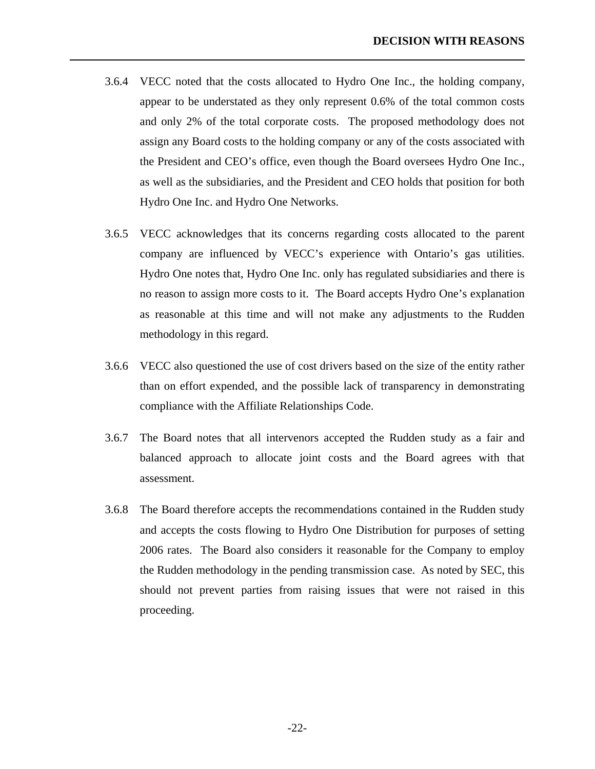3.6.4 VECC noted that the costs allocated to Hydro One Inc., the holding company, appear to be understated as they only represent 0.6% of the total common costs and only 2% of the total corporate costs. The proposed methodology does not assign any Board costs to the holding company or any of the costs associated with the President and CEO's office, even though the Board oversees Hydro One Inc., as well as the subsidiaries, and the President and CEO holds that position for both Hydro One Inc. and Hydro One Networks.

- 3.6.5 VECC acknowledges that its concerns regarding costs allocated to the parent company are influenced by VECC's experience with Ontario's gas utilities. Hydro One notes that, Hydro One Inc. only has regulated subsidiaries and there is no reason to assign more costs to it. The Board accepts Hydro One's explanation as reasonable at this time and will not make any adjustments to the Rudden methodology in this regard.
- 3.6.6 VECC also questioned the use of cost drivers based on the size of the entity rather than on effort expended, and the possible lack of transparency in demonstrating compliance with the Affiliate Relationships Code.
- 3.6.7 The Board notes that all intervenors accepted the Rudden study as a fair and balanced approach to allocate joint costs and the Board agrees with that assessment.
- 3.6.8 The Board therefore accepts the recommendations contained in the Rudden study and accepts the costs flowing to Hydro One Distribution for purposes of setting 2006 rates. The Board also considers it reasonable for the Company to employ the Rudden methodology in the pending transmission case. As noted by SEC, this should not prevent parties from raising issues that were not raised in this proceeding.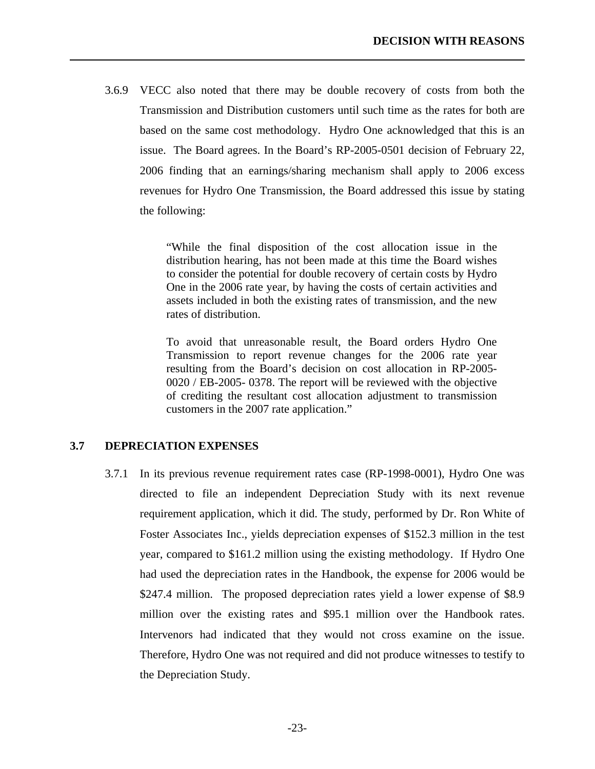3.6.9 VECC also noted that there may be double recovery of costs from both the Transmission and Distribution customers until such time as the rates for both are based on the same cost methodology. Hydro One acknowledged that this is an issue. The Board agrees. In the Board's RP-2005-0501 decision of February 22, 2006 finding that an earnings/sharing mechanism shall apply to 2006 excess revenues for Hydro One Transmission, the Board addressed this issue by stating the following:

> "While the final disposition of the cost allocation issue in the distribution hearing, has not been made at this time the Board wishes to consider the potential for double recovery of certain costs by Hydro One in the 2006 rate year, by having the costs of certain activities and assets included in both the existing rates of transmission, and the new rates of distribution.

> To avoid that unreasonable result, the Board orders Hydro One Transmission to report revenue changes for the 2006 rate year resulting from the Board's decision on cost allocation in RP-2005- 0020 / EB-2005- 0378. The report will be reviewed with the objective of crediting the resultant cost allocation adjustment to transmission customers in the 2007 rate application."

### **3.7 DEPRECIATION EXPENSES**

<span id="page-26-0"></span>l

3.7.1 In its previous revenue requirement rates case (RP-1998-0001), Hydro One was directed to file an independent Depreciation Study with its next revenue requirement application, which it did. The study, performed by Dr. Ron White of Foster Associates Inc., yields depreciation expenses of \$152.3 million in the test year, compared to \$161.2 million using the existing methodology. If Hydro One had used the depreciation rates in the Handbook, the expense for 2006 would be \$247.4 million. The proposed depreciation rates yield a lower expense of \$8.9 million over the existing rates and \$95.1 million over the Handbook rates. Intervenors had indicated that they would not cross examine on the issue. Therefore, Hydro One was not required and did not produce witnesses to testify to the Depreciation Study.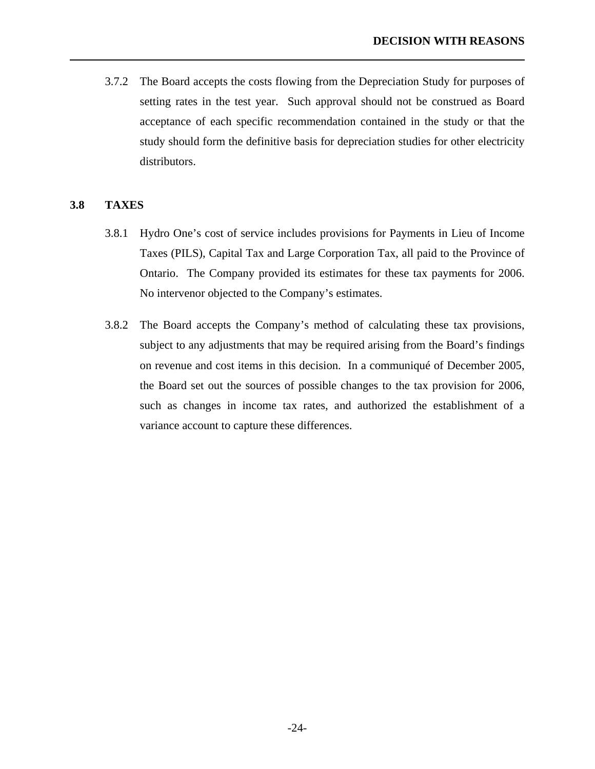<span id="page-27-0"></span>3.7.2 The Board accepts the costs flowing from the Depreciation Study for purposes of setting rates in the test year. Such approval should not be construed as Board acceptance of each specific recommendation contained in the study or that the study should form the definitive basis for depreciation studies for other electricity distributors.

### **3.8 TAXES**

- 3.8.1 Hydro One's cost of service includes provisions for Payments in Lieu of Income Taxes (PILS), Capital Tax and Large Corporation Tax, all paid to the Province of Ontario. The Company provided its estimates for these tax payments for 2006. No intervenor objected to the Company's estimates.
- 3.8.2 The Board accepts the Company's method of calculating these tax provisions, subject to any adjustments that may be required arising from the Board's findings on revenue and cost items in this decision. In a communiqué of December 2005, the Board set out the sources of possible changes to the tax provision for 2006, such as changes in income tax rates, and authorized the establishment of a variance account to capture these differences.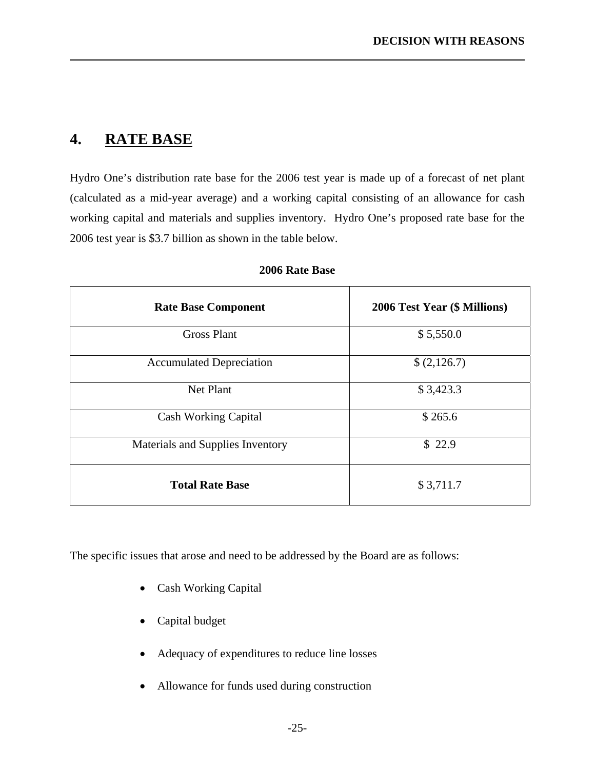### **4. RATE BASE**

<span id="page-28-0"></span>l

Hydro One's distribution rate base for the 2006 test year is made up of a forecast of net plant (calculated as a mid-year average) and a working capital consisting of an allowance for cash working capital and materials and supplies inventory. Hydro One's proposed rate base for the 2006 test year is \$3.7 billion as shown in the table below.

| <b>Rate Base Component</b>       | 2006 Test Year (\$ Millions) |
|----------------------------------|------------------------------|
| <b>Gross Plant</b>               | \$5,550.0                    |
| <b>Accumulated Depreciation</b>  | \$(2,126.7)                  |
| Net Plant                        | \$3,423.3                    |
| <b>Cash Working Capital</b>      | \$265.6                      |
| Materials and Supplies Inventory | \$22.9                       |
| <b>Total Rate Base</b>           | \$3,711.7                    |

### **2006 Rate Base**

The specific issues that arose and need to be addressed by the Board are as follows:

- Cash Working Capital
- Capital budget
- Adequacy of expenditures to reduce line losses
- Allowance for funds used during construction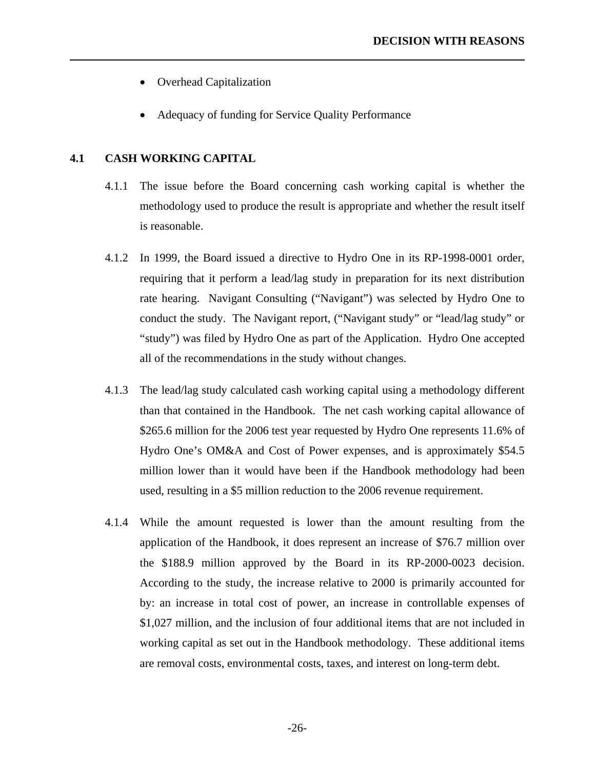- <span id="page-29-0"></span>• Overhead Capitalization
- Adequacy of funding for Service Quality Performance

### **4.1 CASH WORKING CAPITAL**

- 4.1.1 The issue before the Board concerning cash working capital is whether the methodology used to produce the result is appropriate and whether the result itself is reasonable.
- 4.1.2 In 1999, the Board issued a directive to Hydro One in its RP-1998-0001 order, requiring that it perform a lead/lag study in preparation for its next distribution rate hearing. Navigant Consulting ("Navigant") was selected by Hydro One to conduct the study. The Navigant report, ("Navigant study" or "lead/lag study" or "study") was filed by Hydro One as part of the Application. Hydro One accepted all of the recommendations in the study without changes.
- 4.1.3 The lead/lag study calculated cash working capital using a methodology different than that contained in the Handbook. The net cash working capital allowance of \$265.6 million for the 2006 test year requested by Hydro One represents 11.6% of Hydro One's OM&A and Cost of Power expenses, and is approximately \$54.5 million lower than it would have been if the Handbook methodology had been used, resulting in a \$5 million reduction to the 2006 revenue requirement.
- 4.1.4 While the amount requested is lower than the amount resulting from the application of the Handbook, it does represent an increase of \$76.7 million over the \$188.9 million approved by the Board in its RP-2000-0023 decision. According to the study, the increase relative to 2000 is primarily accounted for by: an increase in total cost of power, an increase in controllable expenses of \$1,027 million, and the inclusion of four additional items that are not included in working capital as set out in the Handbook methodology. These additional items are removal costs, environmental costs, taxes, and interest on long-term debt.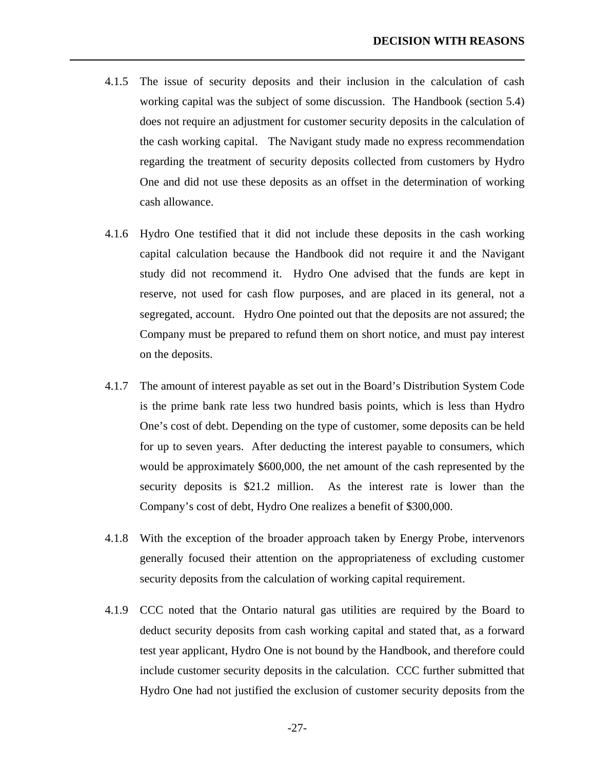4.1.5 The issue of security deposits and their inclusion in the calculation of cash working capital was the subject of some discussion. The Handbook (section 5.4) does not require an adjustment for customer security deposits in the calculation of the cash working capital. The Navigant study made no express recommendation regarding the treatment of security deposits collected from customers by Hydro One and did not use these deposits as an offset in the determination of working cash allowance.

- 4.1.6 Hydro One testified that it did not include these deposits in the cash working capital calculation because the Handbook did not require it and the Navigant study did not recommend it. Hydro One advised that the funds are kept in reserve, not used for cash flow purposes, and are placed in its general, not a segregated, account. Hydro One pointed out that the deposits are not assured; the Company must be prepared to refund them on short notice, and must pay interest on the deposits.
- 4.1.7 The amount of interest payable as set out in the Board's Distribution System Code is the prime bank rate less two hundred basis points, which is less than Hydro One's cost of debt. Depending on the type of customer, some deposits can be held for up to seven years. After deducting the interest payable to consumers, which would be approximately \$600,000, the net amount of the cash represented by the security deposits is \$21.2 million. As the interest rate is lower than the Company's cost of debt, Hydro One realizes a benefit of \$300,000.
- 4.1.8 With the exception of the broader approach taken by Energy Probe, intervenors generally focused their attention on the appropriateness of excluding customer security deposits from the calculation of working capital requirement.
- 4.1.9 CCC noted that the Ontario natural gas utilities are required by the Board to deduct security deposits from cash working capital and stated that, as a forward test year applicant, Hydro One is not bound by the Handbook, and therefore could include customer security deposits in the calculation. CCC further submitted that Hydro One had not justified the exclusion of customer security deposits from the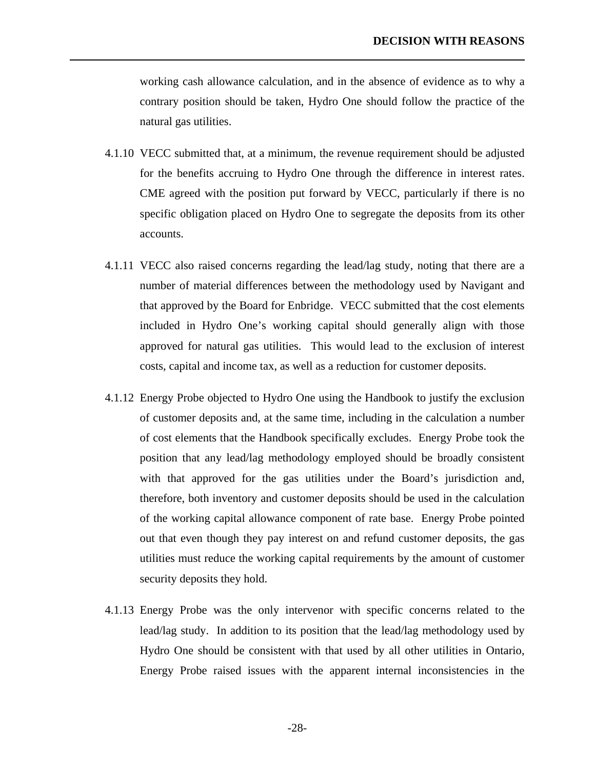working cash allowance calculation, and in the absence of evidence as to why a contrary position should be taken, Hydro One should follow the practice of the natural gas utilities.

- 4.1.10 VECC submitted that, at a minimum, the revenue requirement should be adjusted for the benefits accruing to Hydro One through the difference in interest rates. CME agreed with the position put forward by VECC, particularly if there is no specific obligation placed on Hydro One to segregate the deposits from its other accounts.
- 4.1.11 VECC also raised concerns regarding the lead/lag study, noting that there are a number of material differences between the methodology used by Navigant and that approved by the Board for Enbridge. VECC submitted that the cost elements included in Hydro One's working capital should generally align with those approved for natural gas utilities. This would lead to the exclusion of interest costs, capital and income tax, as well as a reduction for customer deposits.
- 4.1.12 Energy Probe objected to Hydro One using the Handbook to justify the exclusion of customer deposits and, at the same time, including in the calculation a number of cost elements that the Handbook specifically excludes. Energy Probe took the position that any lead/lag methodology employed should be broadly consistent with that approved for the gas utilities under the Board's jurisdiction and, therefore, both inventory and customer deposits should be used in the calculation of the working capital allowance component of rate base. Energy Probe pointed out that even though they pay interest on and refund customer deposits, the gas utilities must reduce the working capital requirements by the amount of customer security deposits they hold.
- 4.1.13 Energy Probe was the only intervenor with specific concerns related to the lead/lag study. In addition to its position that the lead/lag methodology used by Hydro One should be consistent with that used by all other utilities in Ontario, Energy Probe raised issues with the apparent internal inconsistencies in the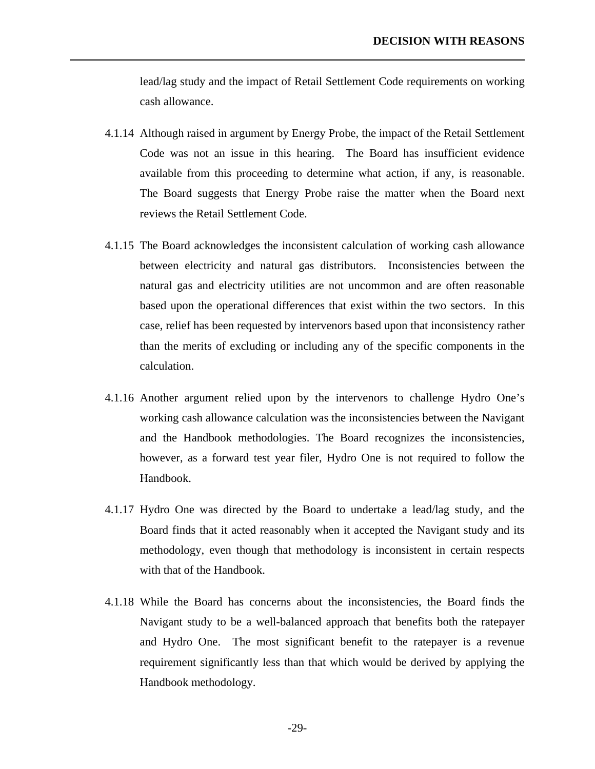lead/lag study and the impact of Retail Settlement Code requirements on working cash allowance.

4.1.14 Although raised in argument by Energy Probe, the impact of the Retail Settlement Code was not an issue in this hearing. The Board has insufficient evidence available from this proceeding to determine what action, if any, is reasonable. The Board suggests that Energy Probe raise the matter when the Board next reviews the Retail Settlement Code.

- 4.1.15 The Board acknowledges the inconsistent calculation of working cash allowance between electricity and natural gas distributors. Inconsistencies between the natural gas and electricity utilities are not uncommon and are often reasonable based upon the operational differences that exist within the two sectors. In this case, relief has been requested by intervenors based upon that inconsistency rather than the merits of excluding or including any of the specific components in the calculation.
- 4.1.16 Another argument relied upon by the intervenors to challenge Hydro One's working cash allowance calculation was the inconsistencies between the Navigant and the Handbook methodologies. The Board recognizes the inconsistencies, however, as a forward test year filer, Hydro One is not required to follow the Handbook.
- 4.1.17 Hydro One was directed by the Board to undertake a lead/lag study, and the Board finds that it acted reasonably when it accepted the Navigant study and its methodology, even though that methodology is inconsistent in certain respects with that of the Handbook.
- 4.1.18 While the Board has concerns about the inconsistencies, the Board finds the Navigant study to be a well-balanced approach that benefits both the ratepayer and Hydro One. The most significant benefit to the ratepayer is a revenue requirement significantly less than that which would be derived by applying the Handbook methodology.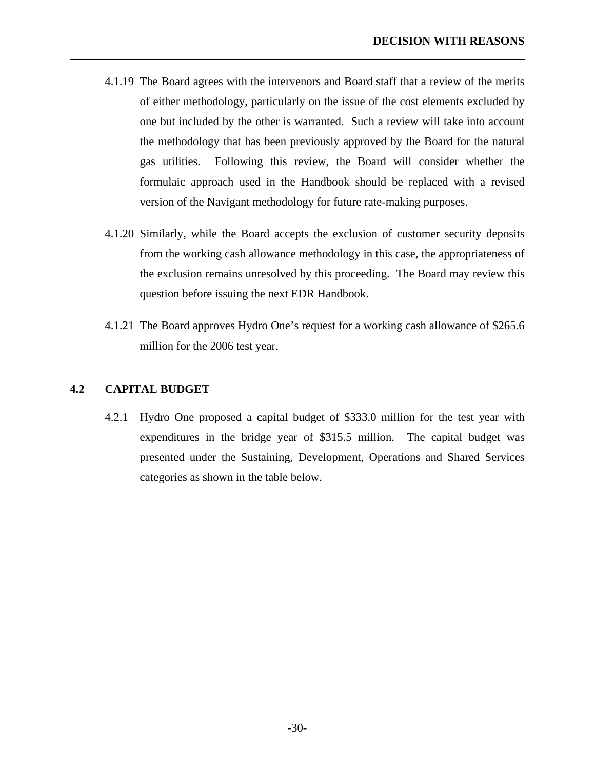- 4.1.19 The Board agrees with the intervenors and Board staff that a review of the merits of either methodology, particularly on the issue of the cost elements excluded by one but included by the other is warranted. Such a review will take into account the methodology that has been previously approved by the Board for the natural gas utilities. Following this review, the Board will consider whether the formulaic approach used in the Handbook should be replaced with a revised version of the Navigant methodology for future rate-making purposes.
- 4.1.20 Similarly, while the Board accepts the exclusion of customer security deposits from the working cash allowance methodology in this case, the appropriateness of the exclusion remains unresolved by this proceeding. The Board may review this question before issuing the next EDR Handbook.
- 4.1.21 The Board approves Hydro One's request for a working cash allowance of \$265.6 million for the 2006 test year.

### **4.2 CAPITAL BUDGET**

<span id="page-33-0"></span>l

4.2.1 Hydro One proposed a capital budget of \$333.0 million for the test year with expenditures in the bridge year of \$315.5 million. The capital budget was presented under the Sustaining, Development, Operations and Shared Services categories as shown in the table below.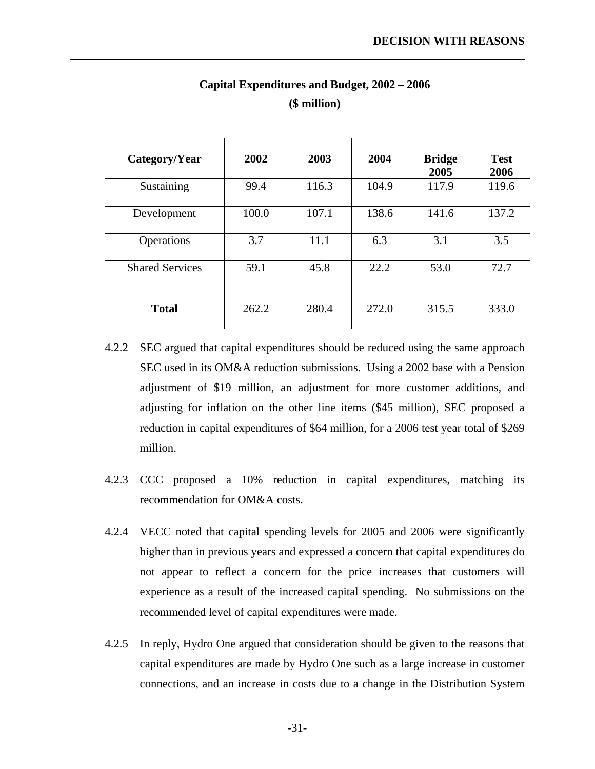| Category/Year          | 2002  | 2003  | 2004  | <b>Bridge</b><br>2005 | <b>Test</b><br>2006 |
|------------------------|-------|-------|-------|-----------------------|---------------------|
| Sustaining             | 99.4  | 116.3 | 104.9 | 117.9                 | 119.6               |
| Development            | 100.0 | 107.1 | 138.6 | 141.6                 | 137.2               |
| Operations             | 3.7   | 11.1  | 6.3   | 3.1                   | 3.5                 |
| <b>Shared Services</b> | 59.1  | 45.8  | 22.2  | 53.0                  | 72.7                |
| <b>Total</b>           | 262.2 | 280.4 | 272.0 | 315.5                 | 333.0               |

### **Capital Expenditures and Budget, 2002 – 2006 (\$ million)**

- 4.2.2 SEC argued that capital expenditures should be reduced using the same approach SEC used in its OM&A reduction submissions. Using a 2002 base with a Pension adjustment of \$19 million, an adjustment for more customer additions, and adjusting for inflation on the other line items (\$45 million), SEC proposed a reduction in capital expenditures of \$64 million, for a 2006 test year total of \$269 million.
- 4.2.3 CCC proposed a 10% reduction in capital expenditures, matching its recommendation for OM&A costs.
- 4.2.4 VECC noted that capital spending levels for 2005 and 2006 were significantly higher than in previous years and expressed a concern that capital expenditures do not appear to reflect a concern for the price increases that customers will experience as a result of the increased capital spending. No submissions on the recommended level of capital expenditures were made.
- 4.2.5 In reply, Hydro One argued that consideration should be given to the reasons that capital expenditures are made by Hydro One such as a large increase in customer connections, and an increase in costs due to a change in the Distribution System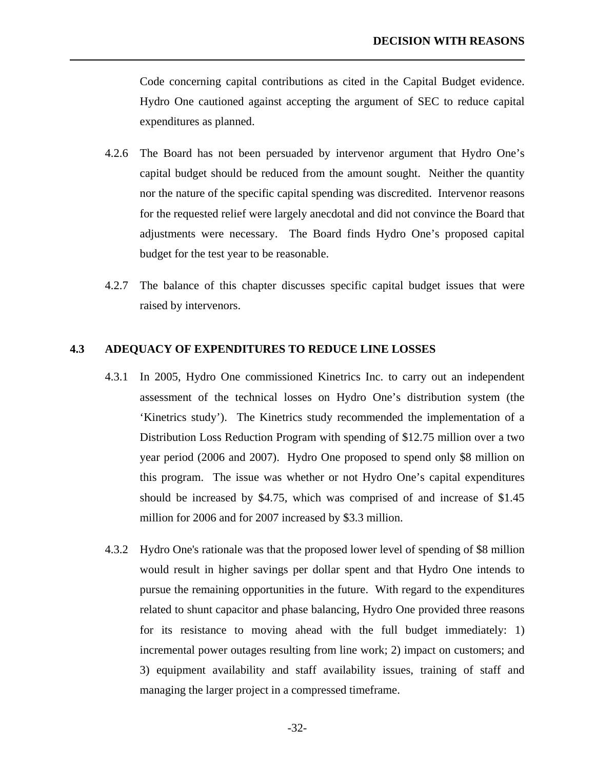<span id="page-35-0"></span>Code concerning capital contributions as cited in the Capital Budget evidence. Hydro One cautioned against accepting the argument of SEC to reduce capital expenditures as planned.

- 4.2.6 The Board has not been persuaded by intervenor argument that Hydro One's capital budget should be reduced from the amount sought. Neither the quantity nor the nature of the specific capital spending was discredited. Intervenor reasons for the requested relief were largely anecdotal and did not convince the Board that adjustments were necessary. The Board finds Hydro One's proposed capital budget for the test year to be reasonable.
- 4.2.7 The balance of this chapter discusses specific capital budget issues that were raised by intervenors.

### **4.3 ADEQUACY OF EXPENDITURES TO REDUCE LINE LOSSES**

- 4.3.1 In 2005, Hydro One commissioned Kinetrics Inc. to carry out an independent assessment of the technical losses on Hydro One's distribution system (the 'Kinetrics study'). The Kinetrics study recommended the implementation of a Distribution Loss Reduction Program with spending of \$12.75 million over a two year period (2006 and 2007). Hydro One proposed to spend only \$8 million on this program. The issue was whether or not Hydro One's capital expenditures should be increased by \$4.75, which was comprised of and increase of \$1.45 million for 2006 and for 2007 increased by \$3.3 million.
- 4.3.2 Hydro One's rationale was that the proposed lower level of spending of \$8 million would result in higher savings per dollar spent and that Hydro One intends to pursue the remaining opportunities in the future. With regard to the expenditures related to shunt capacitor and phase balancing, Hydro One provided three reasons for its resistance to moving ahead with the full budget immediately: 1) incremental power outages resulting from line work; 2) impact on customers; and 3) equipment availability and staff availability issues, training of staff and managing the larger project in a compressed timeframe.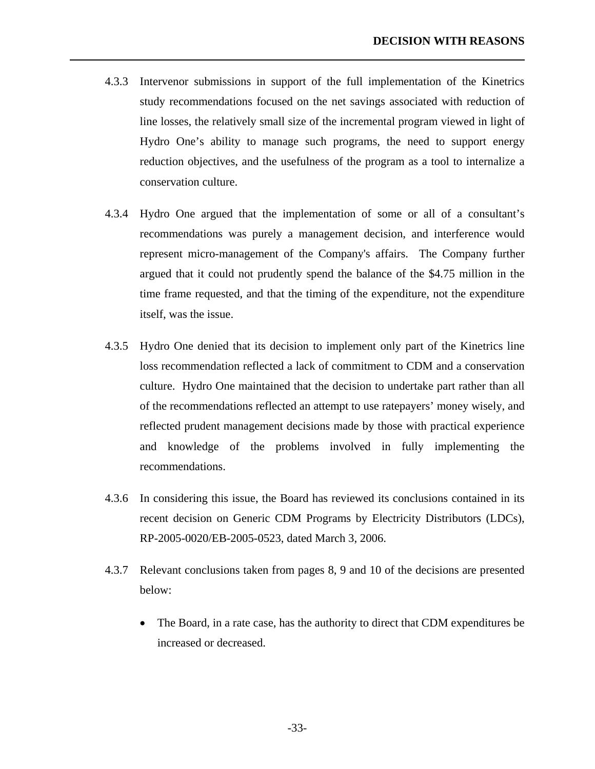4.3.3 Intervenor submissions in support of the full implementation of the Kinetrics study recommendations focused on the net savings associated with reduction of line losses, the relatively small size of the incremental program viewed in light of Hydro One's ability to manage such programs, the need to support energy reduction objectives, and the usefulness of the program as a tool to internalize a conservation culture.

- 4.3.4 Hydro One argued that the implementation of some or all of a consultant's recommendations was purely a management decision, and interference would represent micro-management of the Company's affairs. The Company further argued that it could not prudently spend the balance of the \$4.75 million in the time frame requested, and that the timing of the expenditure, not the expenditure itself, was the issue.
- 4.3.5 Hydro One denied that its decision to implement only part of the Kinetrics line loss recommendation reflected a lack of commitment to CDM and a conservation culture. Hydro One maintained that the decision to undertake part rather than all of the recommendations reflected an attempt to use ratepayers' money wisely, and reflected prudent management decisions made by those with practical experience and knowledge of the problems involved in fully implementing the recommendations.
- 4.3.6 In considering this issue, the Board has reviewed its conclusions contained in its recent decision on Generic CDM Programs by Electricity Distributors (LDCs), RP-2005-0020/EB-2005-0523, dated March 3, 2006.
- 4.3.7 Relevant conclusions taken from pages 8, 9 and 10 of the decisions are presented below:
	- The Board, in a rate case, has the authority to direct that CDM expenditures be increased or decreased.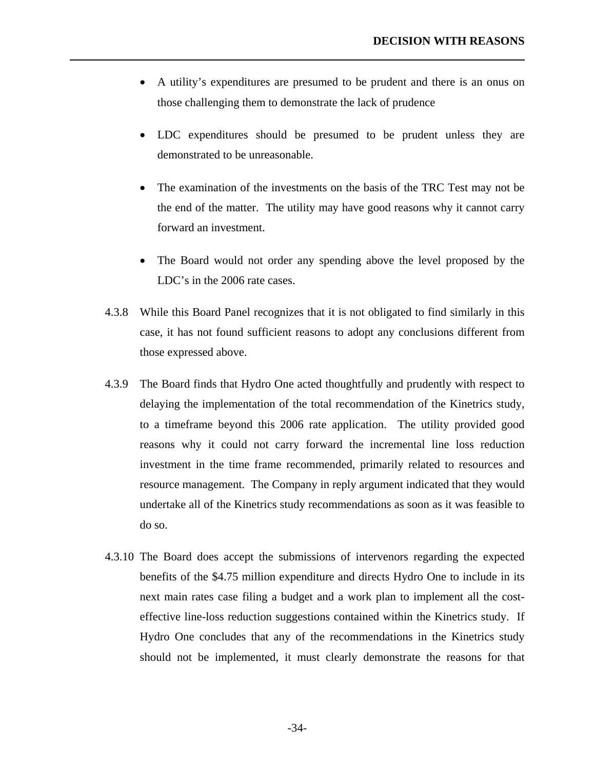• A utility's expenditures are presumed to be prudent and there is an onus on those challenging them to demonstrate the lack of prudence

- LDC expenditures should be presumed to be prudent unless they are demonstrated to be unreasonable.
- The examination of the investments on the basis of the TRC Test may not be the end of the matter. The utility may have good reasons why it cannot carry forward an investment.
- The Board would not order any spending above the level proposed by the LDC's in the 2006 rate cases.
- 4.3.8 While this Board Panel recognizes that it is not obligated to find similarly in this case, it has not found sufficient reasons to adopt any conclusions different from those expressed above.
- 4.3.9 The Board finds that Hydro One acted thoughtfully and prudently with respect to delaying the implementation of the total recommendation of the Kinetrics study, to a timeframe beyond this 2006 rate application. The utility provided good reasons why it could not carry forward the incremental line loss reduction investment in the time frame recommended, primarily related to resources and resource management. The Company in reply argument indicated that they would undertake all of the Kinetrics study recommendations as soon as it was feasible to do so.
- 4.3.10 The Board does accept the submissions of intervenors regarding the expected benefits of the \$4.75 million expenditure and directs Hydro One to include in its next main rates case filing a budget and a work plan to implement all the costeffective line-loss reduction suggestions contained within the Kinetrics study. If Hydro One concludes that any of the recommendations in the Kinetrics study should not be implemented, it must clearly demonstrate the reasons for that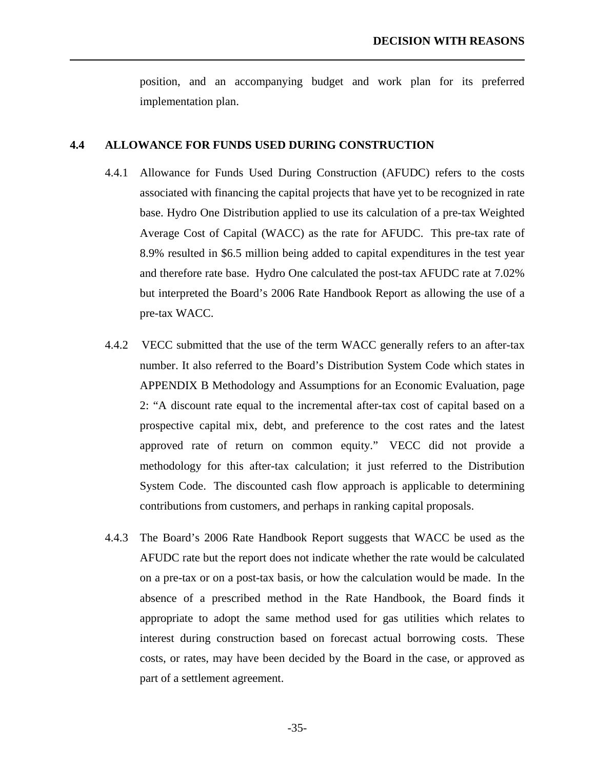position, and an accompanying budget and work plan for its preferred implementation plan.

### <span id="page-38-0"></span>**4.4 ALLOWANCE FOR FUNDS USED DURING CONSTRUCTION**

- 4.4.1 Allowance for Funds Used During Construction (AFUDC) refers to the costs associated with financing the capital projects that have yet to be recognized in rate base. Hydro One Distribution applied to use its calculation of a pre-tax Weighted Average Cost of Capital (WACC) as the rate for AFUDC. This pre-tax rate of 8.9% resulted in \$6.5 million being added to capital expenditures in the test year and therefore rate base. Hydro One calculated the post-tax AFUDC rate at 7.02% but interpreted the Board's 2006 Rate Handbook Report as allowing the use of a pre-tax WACC.
- 4.4.2 VECC submitted that the use of the term WACC generally refers to an after-tax number. It also referred to the Board's Distribution System Code which states in APPENDIX B Methodology and Assumptions for an Economic Evaluation, page 2: "A discount rate equal to the incremental after-tax cost of capital based on a prospective capital mix, debt, and preference to the cost rates and the latest approved rate of return on common equity." VECC did not provide a methodology for this after-tax calculation; it just referred to the Distribution System Code. The discounted cash flow approach is applicable to determining contributions from customers, and perhaps in ranking capital proposals.
- 4.4.3 The Board's 2006 Rate Handbook Report suggests that WACC be used as the AFUDC rate but the report does not indicate whether the rate would be calculated on a pre-tax or on a post-tax basis, or how the calculation would be made. In the absence of a prescribed method in the Rate Handbook, the Board finds it appropriate to adopt the same method used for gas utilities which relates to interest during construction based on forecast actual borrowing costs. These costs, or rates, may have been decided by the Board in the case, or approved as part of a settlement agreement.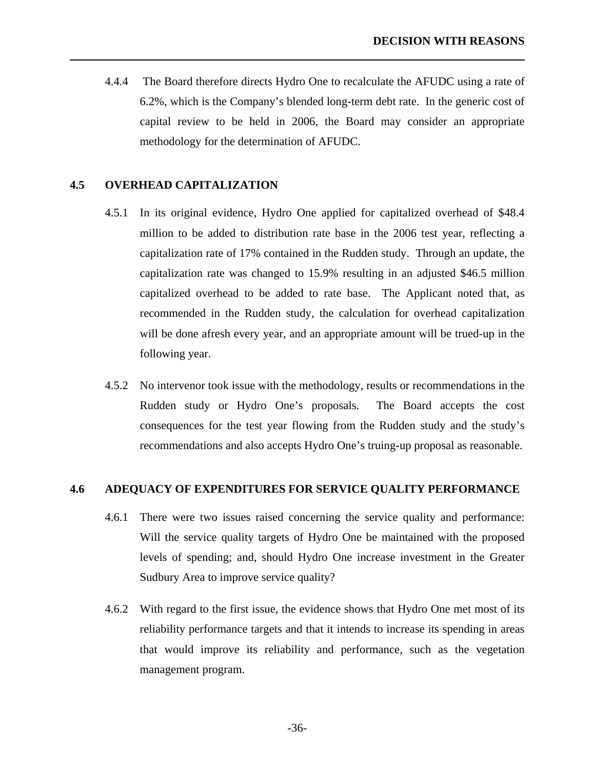4.4.4 The Board therefore directs Hydro One to recalculate the AFUDC using a rate of 6.2%, which is the Company's blended long-term debt rate. In the generic cost of capital review to be held in 2006, the Board may consider an appropriate methodology for the determination of AFUDC.

### **4.5 OVERHEAD CAPITALIZATION**

<span id="page-39-0"></span>l

- 4.5.1 In its original evidence, Hydro One applied for capitalized overhead of \$48.4 million to be added to distribution rate base in the 2006 test year, reflecting a capitalization rate of 17% contained in the Rudden study. Through an update, the capitalization rate was changed to 15.9% resulting in an adjusted \$46.5 million capitalized overhead to be added to rate base. The Applicant noted that, as recommended in the Rudden study, the calculation for overhead capitalization will be done afresh every year, and an appropriate amount will be trued-up in the following year.
- 4.5.2 No intervenor took issue with the methodology, results or recommendations in the Rudden study or Hydro One's proposals. The Board accepts the cost consequences for the test year flowing from the Rudden study and the study's recommendations and also accepts Hydro One's truing-up proposal as reasonable.

### **4.6 ADEQUACY OF EXPENDITURES FOR SERVICE QUALITY PERFORMANCE**

- 4.6.1 There were two issues raised concerning the service quality and performance: Will the service quality targets of Hydro One be maintained with the proposed levels of spending; and, should Hydro One increase investment in the Greater Sudbury Area to improve service quality?
- 4.6.2 With regard to the first issue, the evidence shows that Hydro One met most of its reliability performance targets and that it intends to increase its spending in areas that would improve its reliability and performance, such as the vegetation management program.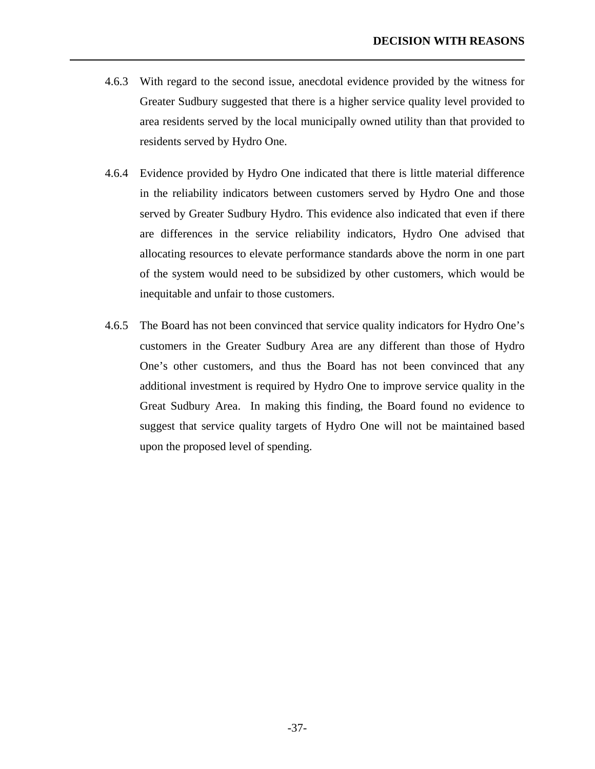4.6.3 With regard to the second issue, anecdotal evidence provided by the witness for Greater Sudbury suggested that there is a higher service quality level provided to area residents served by the local municipally owned utility than that provided to residents served by Hydro One.

- 4.6.4 Evidence provided by Hydro One indicated that there is little material difference in the reliability indicators between customers served by Hydro One and those served by Greater Sudbury Hydro. This evidence also indicated that even if there are differences in the service reliability indicators, Hydro One advised that allocating resources to elevate performance standards above the norm in one part of the system would need to be subsidized by other customers, which would be inequitable and unfair to those customers.
- 4.6.5 The Board has not been convinced that service quality indicators for Hydro One's customers in the Greater Sudbury Area are any different than those of Hydro One's other customers, and thus the Board has not been convinced that any additional investment is required by Hydro One to improve service quality in the Great Sudbury Area. In making this finding, the Board found no evidence to suggest that service quality targets of Hydro One will not be maintained based upon the proposed level of spending.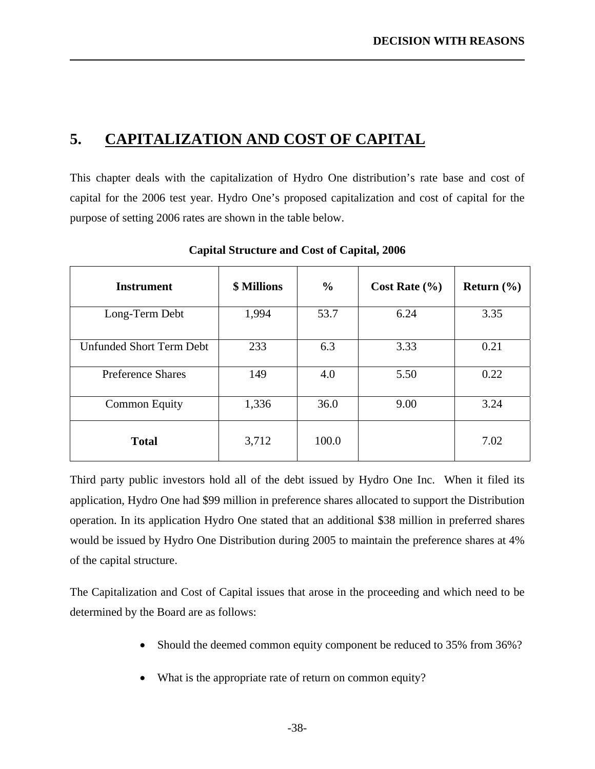# **5. CAPITALIZATION AND COST OF CAPITAL**

<span id="page-41-0"></span>l

This chapter deals with the capitalization of Hydro One distribution's rate base and cost of capital for the 2006 test year. Hydro One's proposed capitalization and cost of capital for the purpose of setting 2006 rates are shown in the table below.

| <b>Instrument</b>        | <b>\$ Millions</b> | $\frac{6}{9}$ | Cost Rate $(\% )$ | Return $(\% )$ |
|--------------------------|--------------------|---------------|-------------------|----------------|
| Long-Term Debt           | 1,994              | 53.7          | 6.24              | 3.35           |
| Unfunded Short Term Debt | 233                | 6.3           | 3.33              | 0.21           |
| <b>Preference Shares</b> | 149                | 4.0           | 5.50              | 0.22           |
| <b>Common Equity</b>     | 1,336              | 36.0          | 9.00              | 3.24           |
| <b>Total</b>             | 3,712              | 100.0         |                   | 7.02           |

**Capital Structure and Cost of Capital, 2006**

Third party public investors hold all of the debt issued by Hydro One Inc. When it filed its application, Hydro One had \$99 million in preference shares allocated to support the Distribution operation. In its application Hydro One stated that an additional \$38 million in preferred shares would be issued by Hydro One Distribution during 2005 to maintain the preference shares at 4% of the capital structure.

The Capitalization and Cost of Capital issues that arose in the proceeding and which need to be determined by the Board are as follows:

- Should the deemed common equity component be reduced to 35% from 36%?
- What is the appropriate rate of return on common equity?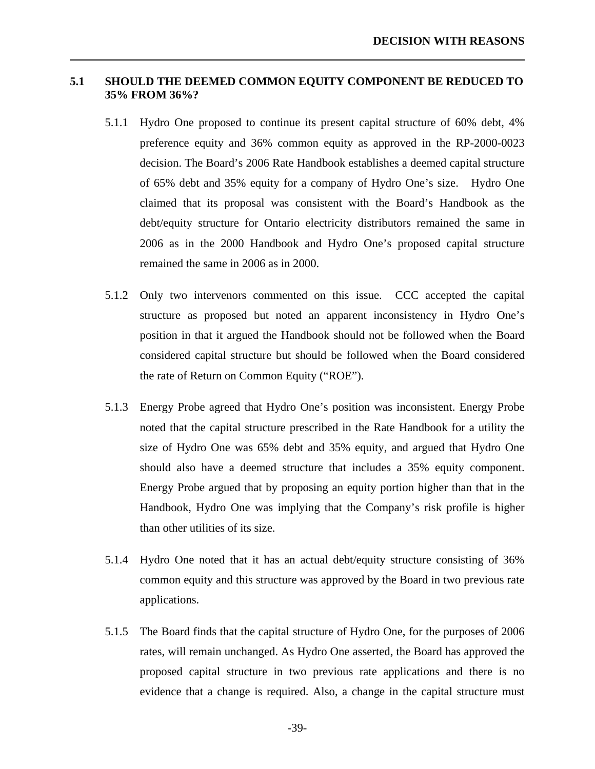### <span id="page-42-0"></span>**5.1 SHOULD THE DEEMED COMMON EQUITY COMPONENT BE REDUCED TO 35% FROM 36%?**

- 5.1.1 Hydro One proposed to continue its present capital structure of 60% debt, 4% preference equity and 36% common equity as approved in the RP-2000-0023 decision. The Board's 2006 Rate Handbook establishes a deemed capital structure of 65% debt and 35% equity for a company of Hydro One's size. Hydro One claimed that its proposal was consistent with the Board's Handbook as the debt/equity structure for Ontario electricity distributors remained the same in 2006 as in the 2000 Handbook and Hydro One's proposed capital structure remained the same in 2006 as in 2000.
- 5.1.2 Only two intervenors commented on this issue. CCC accepted the capital structure as proposed but noted an apparent inconsistency in Hydro One's position in that it argued the Handbook should not be followed when the Board considered capital structure but should be followed when the Board considered the rate of Return on Common Equity ("ROE").
- 5.1.3 Energy Probe agreed that Hydro One's position was inconsistent. Energy Probe noted that the capital structure prescribed in the Rate Handbook for a utility the size of Hydro One was 65% debt and 35% equity, and argued that Hydro One should also have a deemed structure that includes a 35% equity component. Energy Probe argued that by proposing an equity portion higher than that in the Handbook, Hydro One was implying that the Company's risk profile is higher than other utilities of its size.
- 5.1.4 Hydro One noted that it has an actual debt/equity structure consisting of 36% common equity and this structure was approved by the Board in two previous rate applications.
- 5.1.5 The Board finds that the capital structure of Hydro One, for the purposes of 2006 rates, will remain unchanged. As Hydro One asserted, the Board has approved the proposed capital structure in two previous rate applications and there is no evidence that a change is required. Also, a change in the capital structure must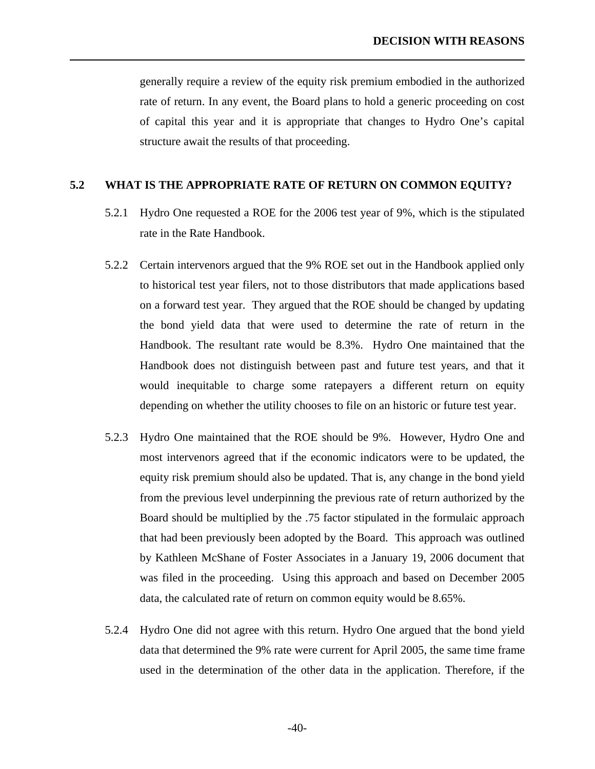<span id="page-43-0"></span>generally require a review of the equity risk premium embodied in the authorized rate of return. In any event, the Board plans to hold a generic proceeding on cost of capital this year and it is appropriate that changes to Hydro One's capital structure await the results of that proceeding.

### **5.2 WHAT IS THE APPROPRIATE RATE OF RETURN ON COMMON EQUITY?**

- 5.2.1 Hydro One requested a ROE for the 2006 test year of 9%, which is the stipulated rate in the Rate Handbook.
- 5.2.2 Certain intervenors argued that the 9% ROE set out in the Handbook applied only to historical test year filers, not to those distributors that made applications based on a forward test year. They argued that the ROE should be changed by updating the bond yield data that were used to determine the rate of return in the Handbook. The resultant rate would be 8.3%. Hydro One maintained that the Handbook does not distinguish between past and future test years, and that it would inequitable to charge some ratepayers a different return on equity depending on whether the utility chooses to file on an historic or future test year.
- 5.2.3 Hydro One maintained that the ROE should be 9%. However, Hydro One and most intervenors agreed that if the economic indicators were to be updated, the equity risk premium should also be updated. That is, any change in the bond yield from the previous level underpinning the previous rate of return authorized by the Board should be multiplied by the .75 factor stipulated in the formulaic approach that had been previously been adopted by the Board. This approach was outlined by Kathleen McShane of Foster Associates in a January 19, 2006 document that was filed in the proceeding. Using this approach and based on December 2005 data, the calculated rate of return on common equity would be 8.65%.
- 5.2.4 Hydro One did not agree with this return. Hydro One argued that the bond yield data that determined the 9% rate were current for April 2005, the same time frame used in the determination of the other data in the application. Therefore, if the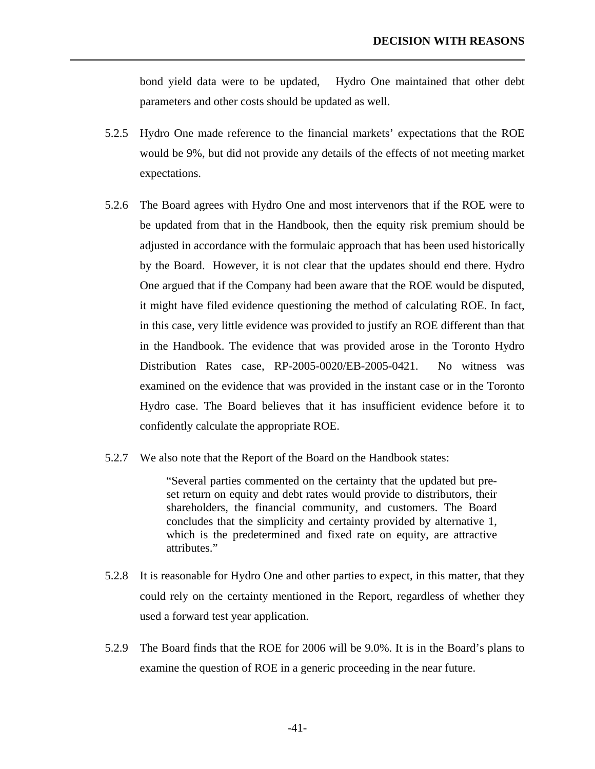bond yield data were to be updated, Hydro One maintained that other debt parameters and other costs should be updated as well.

5.2.5 Hydro One made reference to the financial markets' expectations that the ROE would be 9%, but did not provide any details of the effects of not meeting market expectations.

l

- 5.2.6 The Board agrees with Hydro One and most intervenors that if the ROE were to be updated from that in the Handbook, then the equity risk premium should be adjusted in accordance with the formulaic approach that has been used historically by the Board. However, it is not clear that the updates should end there. Hydro One argued that if the Company had been aware that the ROE would be disputed, it might have filed evidence questioning the method of calculating ROE. In fact, in this case, very little evidence was provided to justify an ROE different than that in the Handbook. The evidence that was provided arose in the Toronto Hydro Distribution Rates case, RP-2005-0020/EB-2005-0421. No witness was examined on the evidence that was provided in the instant case or in the Toronto Hydro case. The Board believes that it has insufficient evidence before it to confidently calculate the appropriate ROE.
- 5.2.7 We also note that the Report of the Board on the Handbook states:

"Several parties commented on the certainty that the updated but preset return on equity and debt rates would provide to distributors, their shareholders, the financial community, and customers. The Board concludes that the simplicity and certainty provided by alternative 1, which is the predetermined and fixed rate on equity, are attractive attributes."

- 5.2.8 It is reasonable for Hydro One and other parties to expect, in this matter, that they could rely on the certainty mentioned in the Report, regardless of whether they used a forward test year application.
- 5.2.9 The Board finds that the ROE for 2006 will be 9.0%. It is in the Board's plans to examine the question of ROE in a generic proceeding in the near future.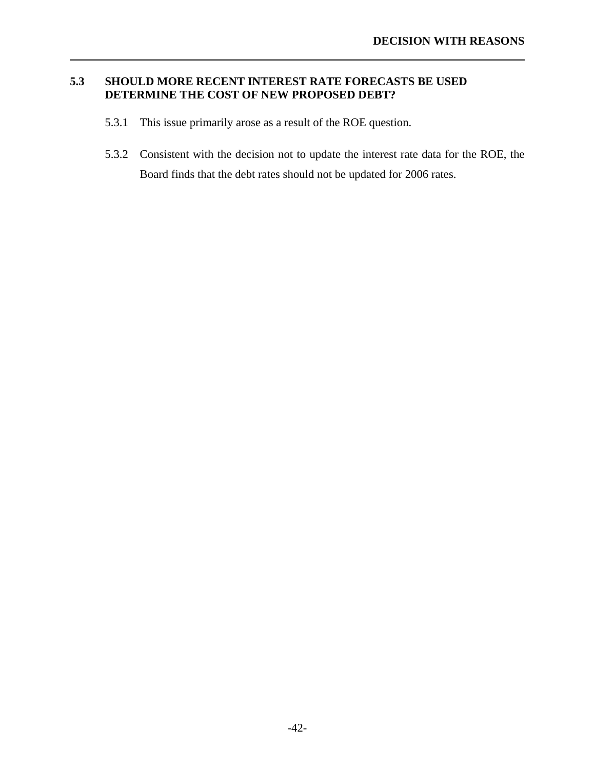### **5.3 SHOULD MORE RECENT INTEREST RATE FORECASTS BE USED DETERMINE THE COST OF NEW PROPOSED DEBT?**

5.3.1 This issue primarily arose as a result of the ROE question.

<span id="page-45-0"></span>l

5.3.2 Consistent with the decision not to update the interest rate data for the ROE, the Board finds that the debt rates should not be updated for 2006 rates.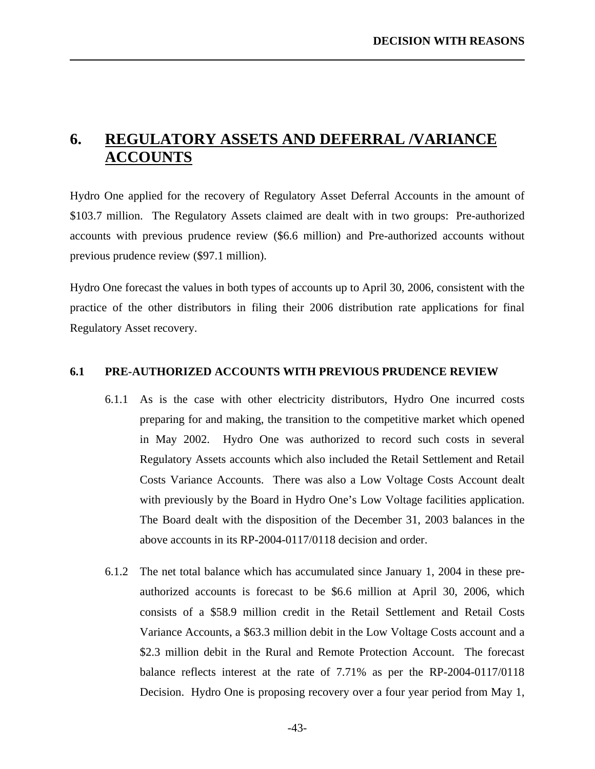# **6. REGULATORY ASSETS AND DEFERRAL /VARIANCE ACCOUNTS**

<span id="page-46-0"></span>l

Hydro One applied for the recovery of Regulatory Asset Deferral Accounts in the amount of \$103.7 million. The Regulatory Assets claimed are dealt with in two groups: Pre-authorized accounts with previous prudence review (\$6.6 million) and Pre-authorized accounts without previous prudence review (\$97.1 million).

Hydro One forecast the values in both types of accounts up to April 30, 2006, consistent with the practice of the other distributors in filing their 2006 distribution rate applications for final Regulatory Asset recovery.

### **6.1 PRE-AUTHORIZED ACCOUNTS WITH PREVIOUS PRUDENCE REVIEW**

- 6.1.1 As is the case with other electricity distributors, Hydro One incurred costs preparing for and making, the transition to the competitive market which opened in May 2002. Hydro One was authorized to record such costs in several Regulatory Assets accounts which also included the Retail Settlement and Retail Costs Variance Accounts. There was also a Low Voltage Costs Account dealt with previously by the Board in Hydro One's Low Voltage facilities application. The Board dealt with the disposition of the December 31, 2003 balances in the above accounts in its RP-2004-0117/0118 decision and order.
- 6.1.2 The net total balance which has accumulated since January 1, 2004 in these preauthorized accounts is forecast to be \$6.6 million at April 30, 2006, which consists of a \$58.9 million credit in the Retail Settlement and Retail Costs Variance Accounts, a \$63.3 million debit in the Low Voltage Costs account and a \$2.3 million debit in the Rural and Remote Protection Account. The forecast balance reflects interest at the rate of 7.71% as per the RP-2004-0117/0118 Decision. Hydro One is proposing recovery over a four year period from May 1,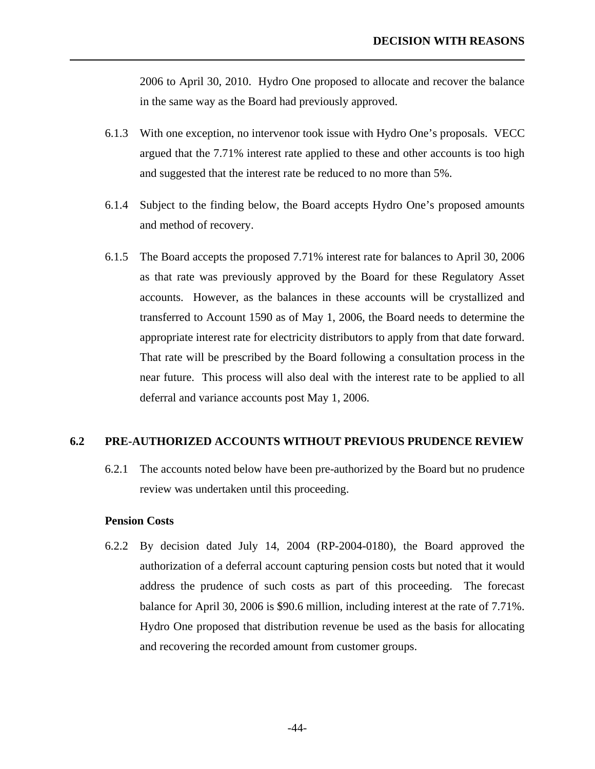2006 to April 30, 2010. Hydro One proposed to allocate and recover the balance in the same way as the Board had previously approved.

- 6.1.3 With one exception, no intervenor took issue with Hydro One's proposals. VECC argued that the 7.71% interest rate applied to these and other accounts is too high and suggested that the interest rate be reduced to no more than 5%.
- 6.1.4 Subject to the finding below, the Board accepts Hydro One's proposed amounts and method of recovery.
- 6.1.5 The Board accepts the proposed 7.71% interest rate for balances to April 30, 2006 as that rate was previously approved by the Board for these Regulatory Asset accounts. However, as the balances in these accounts will be crystallized and transferred to Account 1590 as of May 1, 2006, the Board needs to determine the appropriate interest rate for electricity distributors to apply from that date forward. That rate will be prescribed by the Board following a consultation process in the near future. This process will also deal with the interest rate to be applied to all deferral and variance accounts post May 1, 2006.

### **6.2 PRE-AUTHORIZED ACCOUNTS WITHOUT PREVIOUS PRUDENCE REVIEW**

6.2.1 The accounts noted below have been pre-authorized by the Board but no prudence review was undertaken until this proceeding.

### **Pension Costs**

<span id="page-47-0"></span>l

6.2.2 By decision dated July 14, 2004 (RP-2004-0180), the Board approved the authorization of a deferral account capturing pension costs but noted that it would address the prudence of such costs as part of this proceeding. The forecast balance for April 30, 2006 is \$90.6 million, including interest at the rate of 7.71%. Hydro One proposed that distribution revenue be used as the basis for allocating and recovering the recorded amount from customer groups.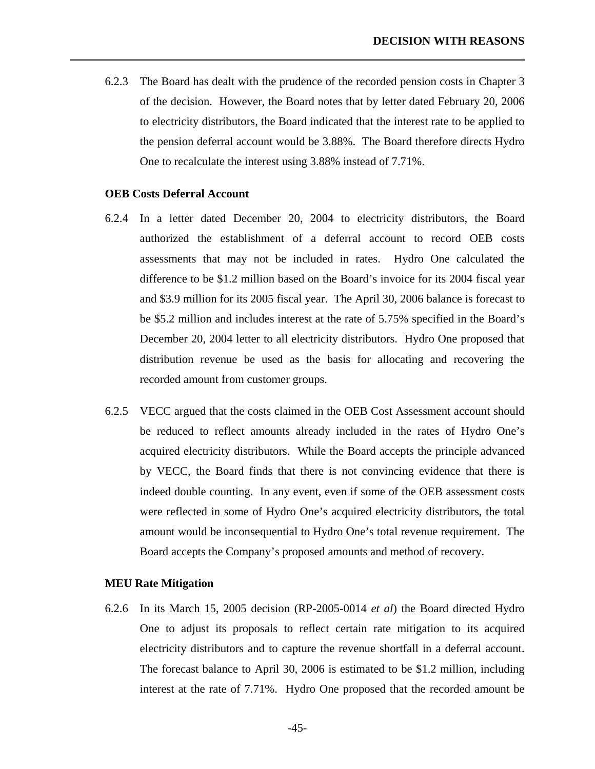6.2.3 The Board has dealt with the prudence of the recorded pension costs in Chapter 3 of the decision. However, the Board notes that by letter dated February 20, 2006 to electricity distributors, the Board indicated that the interest rate to be applied to the pension deferral account would be 3.88%. The Board therefore directs Hydro One to recalculate the interest using 3.88% instead of 7.71%.

### **OEB Costs Deferral Account**

l

- 6.2.4 In a letter dated December 20, 2004 to electricity distributors, the Board authorized the establishment of a deferral account to record OEB costs assessments that may not be included in rates. Hydro One calculated the difference to be \$1.2 million based on the Board's invoice for its 2004 fiscal year and \$3.9 million for its 2005 fiscal year. The April 30, 2006 balance is forecast to be \$5.2 million and includes interest at the rate of 5.75% specified in the Board's December 20, 2004 letter to all electricity distributors. Hydro One proposed that distribution revenue be used as the basis for allocating and recovering the recorded amount from customer groups.
- 6.2.5 VECC argued that the costs claimed in the OEB Cost Assessment account should be reduced to reflect amounts already included in the rates of Hydro One's acquired electricity distributors. While the Board accepts the principle advanced by VECC, the Board finds that there is not convincing evidence that there is indeed double counting. In any event, even if some of the OEB assessment costs were reflected in some of Hydro One's acquired electricity distributors, the total amount would be inconsequential to Hydro One's total revenue requirement. The Board accepts the Company's proposed amounts and method of recovery.

### **MEU Rate Mitigation**

6.2.6 In its March 15, 2005 decision (RP-2005-0014 *et al*) the Board directed Hydro One to adjust its proposals to reflect certain rate mitigation to its acquired electricity distributors and to capture the revenue shortfall in a deferral account. The forecast balance to April 30, 2006 is estimated to be \$1.2 million, including interest at the rate of 7.71%. Hydro One proposed that the recorded amount be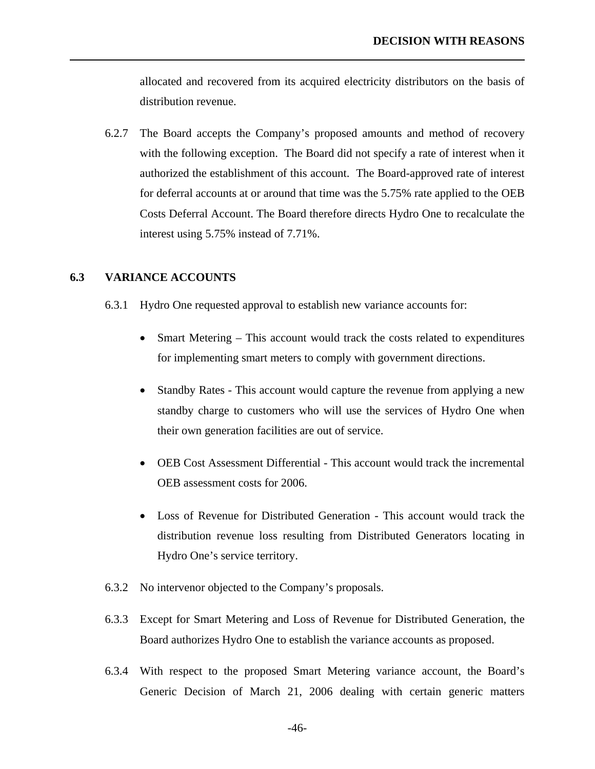<span id="page-49-0"></span>allocated and recovered from its acquired electricity distributors on the basis of distribution revenue.

6.2.7 The Board accepts the Company's proposed amounts and method of recovery with the following exception. The Board did not specify a rate of interest when it authorized the establishment of this account. The Board-approved rate of interest for deferral accounts at or around that time was the 5.75% rate applied to the OEB Costs Deferral Account. The Board therefore directs Hydro One to recalculate the interest using 5.75% instead of 7.71%.

### **6.3 VARIANCE ACCOUNTS**

- 6.3.1 Hydro One requested approval to establish new variance accounts for:
	- Smart Metering This account would track the costs related to expenditures for implementing smart meters to comply with government directions.
	- Standby Rates This account would capture the revenue from applying a new standby charge to customers who will use the services of Hydro One when their own generation facilities are out of service.
	- OEB Cost Assessment Differential This account would track the incremental OEB assessment costs for 2006.
	- Loss of Revenue for Distributed Generation This account would track the distribution revenue loss resulting from Distributed Generators locating in Hydro One's service territory.
- 6.3.2 No intervenor objected to the Company's proposals.
- 6.3.3 Except for Smart Metering and Loss of Revenue for Distributed Generation, the Board authorizes Hydro One to establish the variance accounts as proposed.
- 6.3.4 With respect to the proposed Smart Metering variance account, the Board's Generic Decision of March 21, 2006 dealing with certain generic matters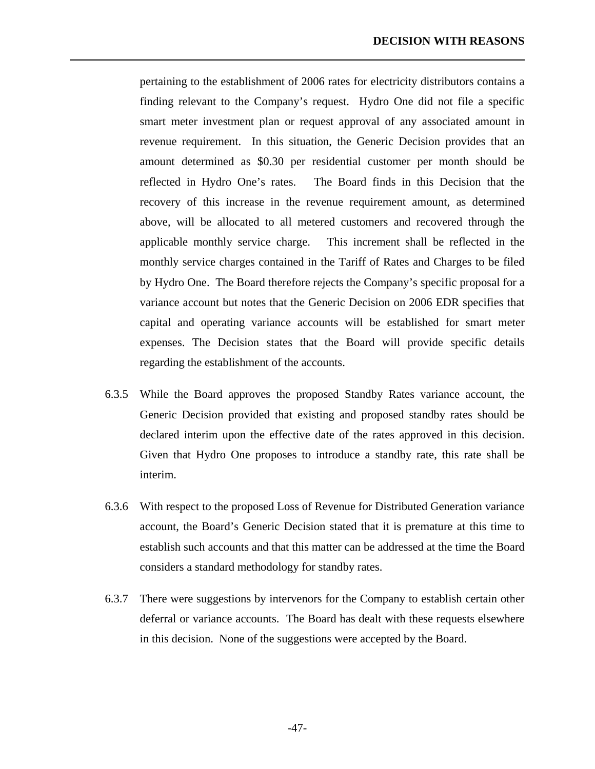pertaining to the establishment of 2006 rates for electricity distributors contains a finding relevant to the Company's request. Hydro One did not file a specific smart meter investment plan or request approval of any associated amount in revenue requirement. In this situation, the Generic Decision provides that an amount determined as \$0.30 per residential customer per month should be reflected in Hydro One's rates. The Board finds in this Decision that the recovery of this increase in the revenue requirement amount, as determined above, will be allocated to all metered customers and recovered through the applicable monthly service charge. This increment shall be reflected in the monthly service charges contained in the Tariff of Rates and Charges to be filed by Hydro One. The Board therefore rejects the Company's specific proposal for a variance account but notes that the Generic Decision on 2006 EDR specifies that capital and operating variance accounts will be established for smart meter expenses. The Decision states that the Board will provide specific details regarding the establishment of the accounts.

- 6.3.5 While the Board approves the proposed Standby Rates variance account, the Generic Decision provided that existing and proposed standby rates should be declared interim upon the effective date of the rates approved in this decision. Given that Hydro One proposes to introduce a standby rate, this rate shall be interim.
- 6.3.6 With respect to the proposed Loss of Revenue for Distributed Generation variance account, the Board's Generic Decision stated that it is premature at this time to establish such accounts and that this matter can be addressed at the time the Board considers a standard methodology for standby rates.
- 6.3.7 There were suggestions by intervenors for the Company to establish certain other deferral or variance accounts. The Board has dealt with these requests elsewhere in this decision. None of the suggestions were accepted by the Board.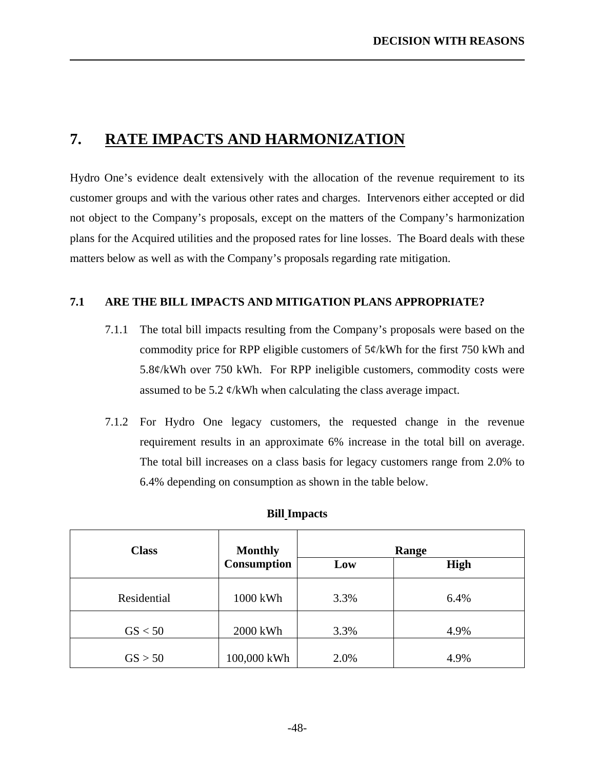# **7. RATE IMPACTS AND HARMONIZATION**

<span id="page-51-0"></span>l

Hydro One's evidence dealt extensively with the allocation of the revenue requirement to its customer groups and with the various other rates and charges. Intervenors either accepted or did not object to the Company's proposals, except on the matters of the Company's harmonization plans for the Acquired utilities and the proposed rates for line losses. The Board deals with these matters below as well as with the Company's proposals regarding rate mitigation.

### **7.1 ARE THE BILL IMPACTS AND MITIGATION PLANS APPROPRIATE?**

- 7.1.1 The total bill impacts resulting from the Company's proposals were based on the commodity price for RPP eligible customers of 5¢/kWh for the first 750 kWh and 5.8¢/kWh over 750 kWh. For RPP ineligible customers, commodity costs were assumed to be 5.2  $\phi$ /kWh when calculating the class average impact.
- 7.1.2 For Hydro One legacy customers, the requested change in the revenue requirement results in an approximate 6% increase in the total bill on average. The total bill increases on a class basis for legacy customers range from 2.0% to 6.4% depending on consumption as shown in the table below.

| <b>Bill Impacts</b> |
|---------------------|
|                     |

| <b>Class</b> | <b>Monthly</b>     |      | Range       |
|--------------|--------------------|------|-------------|
|              | <b>Consumption</b> | Low  | <b>High</b> |
| Residential  | 1000 kWh           | 3.3% | 6.4%        |
| GS < 50      | 2000 kWh           | 3.3% | 4.9%        |
| GS > 50      | 100,000 kWh        | 2.0% | 4.9%        |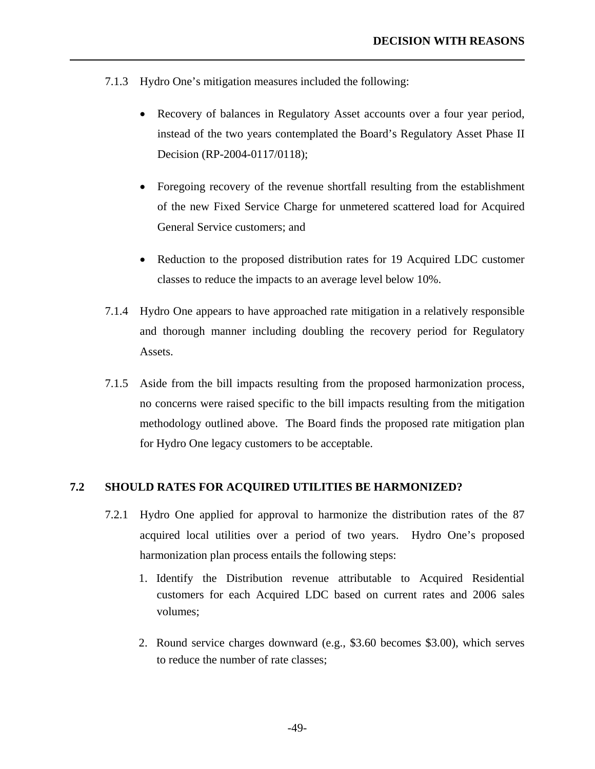7.1.3 Hydro One's mitigation measures included the following:

<span id="page-52-0"></span>l

- Recovery of balances in Regulatory Asset accounts over a four year period, instead of the two years contemplated the Board's Regulatory Asset Phase II Decision (RP-2004-0117/0118);
- Foregoing recovery of the revenue shortfall resulting from the establishment of the new Fixed Service Charge for unmetered scattered load for Acquired General Service customers; and
- Reduction to the proposed distribution rates for 19 Acquired LDC customer classes to reduce the impacts to an average level below 10%.
- 7.1.4 Hydro One appears to have approached rate mitigation in a relatively responsible and thorough manner including doubling the recovery period for Regulatory Assets.
- 7.1.5 Aside from the bill impacts resulting from the proposed harmonization process, no concerns were raised specific to the bill impacts resulting from the mitigation methodology outlined above. The Board finds the proposed rate mitigation plan for Hydro One legacy customers to be acceptable.

### **7.2 SHOULD RATES FOR ACQUIRED UTILITIES BE HARMONIZED?**

- 7.2.1 Hydro One applied for approval to harmonize the distribution rates of the 87 acquired local utilities over a period of two years. Hydro One's proposed harmonization plan process entails the following steps:
	- 1. Identify the Distribution revenue attributable to Acquired Residential customers for each Acquired LDC based on current rates and 2006 sales volumes;
	- 2. Round service charges downward (e.g., \$3.60 becomes \$3.00), which serves to reduce the number of rate classes;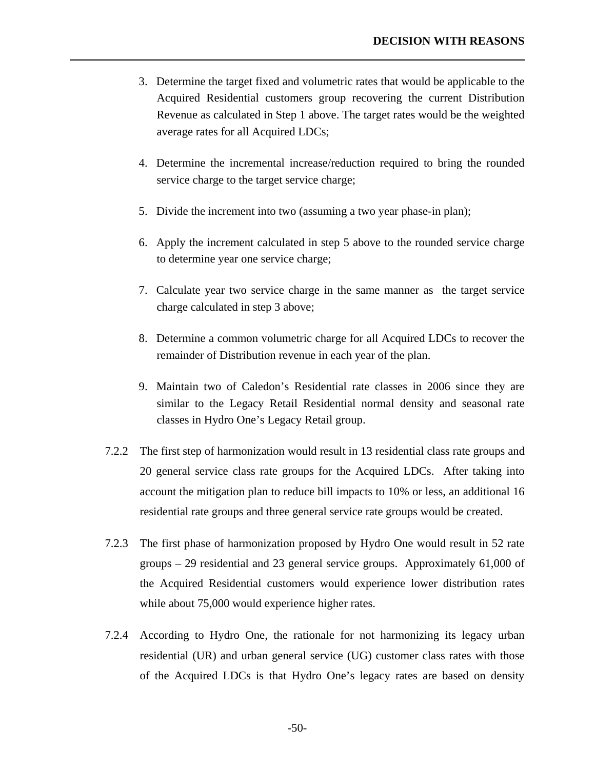- 3. Determine the target fixed and volumetric rates that would be applicable to the Acquired Residential customers group recovering the current Distribution Revenue as calculated in Step 1 above. The target rates would be the weighted average rates for all Acquired LDCs;
- 4. Determine the incremental increase/reduction required to bring the rounded service charge to the target service charge;
- 5. Divide the increment into two (assuming a two year phase-in plan);

- 6. Apply the increment calculated in step 5 above to the rounded service charge to determine year one service charge;
- 7. Calculate year two service charge in the same manner as the target service charge calculated in step 3 above;
- 8. Determine a common volumetric charge for all Acquired LDCs to recover the remainder of Distribution revenue in each year of the plan.
- 9. Maintain two of Caledon's Residential rate classes in 2006 since they are similar to the Legacy Retail Residential normal density and seasonal rate classes in Hydro One's Legacy Retail group.
- 7.2.2 The first step of harmonization would result in 13 residential class rate groups and 20 general service class rate groups for the Acquired LDCs. After taking into account the mitigation plan to reduce bill impacts to 10% or less, an additional 16 residential rate groups and three general service rate groups would be created.
- 7.2.3 The first phase of harmonization proposed by Hydro One would result in 52 rate groups – 29 residential and 23 general service groups. Approximately 61,000 of the Acquired Residential customers would experience lower distribution rates while about 75,000 would experience higher rates.
- 7.2.4 According to Hydro One, the rationale for not harmonizing its legacy urban residential (UR) and urban general service (UG) customer class rates with those of the Acquired LDCs is that Hydro One's legacy rates are based on density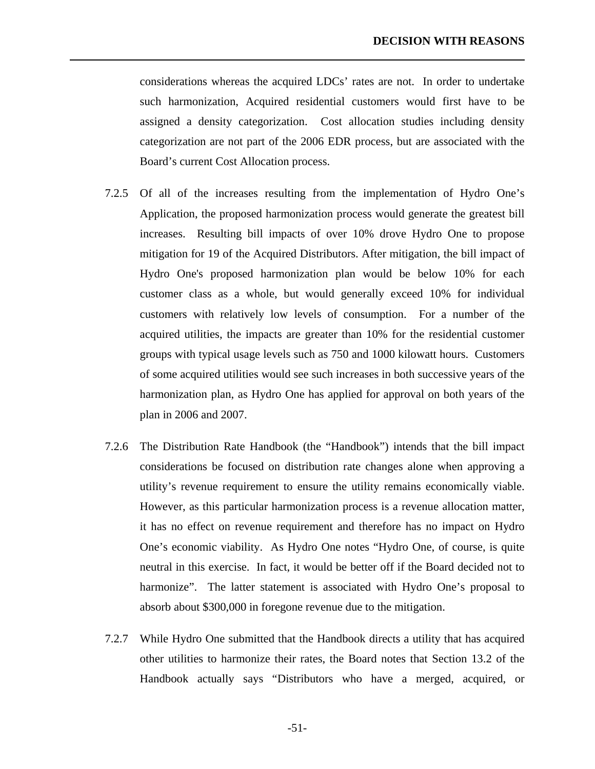considerations whereas the acquired LDCs' rates are not. In order to undertake such harmonization, Acquired residential customers would first have to be assigned a density categorization. Cost allocation studies including density categorization are not part of the 2006 EDR process, but are associated with the Board's current Cost Allocation process.

- 7.2.5 Of all of the increases resulting from the implementation of Hydro One's Application, the proposed harmonization process would generate the greatest bill increases. Resulting bill impacts of over 10% drove Hydro One to propose mitigation for 19 of the Acquired Distributors. After mitigation, the bill impact of Hydro One's proposed harmonization plan would be below 10% for each customer class as a whole, but would generally exceed 10% for individual customers with relatively low levels of consumption. For a number of the acquired utilities, the impacts are greater than 10% for the residential customer groups with typical usage levels such as 750 and 1000 kilowatt hours. Customers of some acquired utilities would see such increases in both successive years of the harmonization plan, as Hydro One has applied for approval on both years of the plan in 2006 and 2007.
- 7.2.6 The Distribution Rate Handbook (the "Handbook") intends that the bill impact considerations be focused on distribution rate changes alone when approving a utility's revenue requirement to ensure the utility remains economically viable. However, as this particular harmonization process is a revenue allocation matter, it has no effect on revenue requirement and therefore has no impact on Hydro One's economic viability. As Hydro One notes "Hydro One, of course, is quite neutral in this exercise. In fact, it would be better off if the Board decided not to harmonize". The latter statement is associated with Hydro One's proposal to absorb about \$300,000 in foregone revenue due to the mitigation.
- 7.2.7 While Hydro One submitted that the Handbook directs a utility that has acquired other utilities to harmonize their rates, the Board notes that Section 13.2 of the Handbook actually says "Distributors who have a merged, acquired, or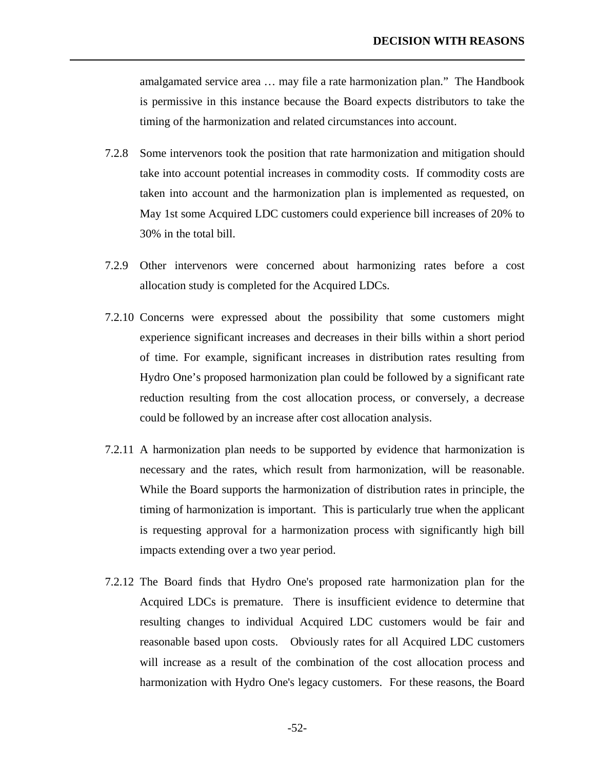amalgamated service area … may file a rate harmonization plan." The Handbook is permissive in this instance because the Board expects distributors to take the timing of the harmonization and related circumstances into account.

- 7.2.8 Some intervenors took the position that rate harmonization and mitigation should take into account potential increases in commodity costs. If commodity costs are taken into account and the harmonization plan is implemented as requested, on May 1st some Acquired LDC customers could experience bill increases of 20% to 30% in the total bill.
- 7.2.9 Other intervenors were concerned about harmonizing rates before a cost allocation study is completed for the Acquired LDCs.
- 7.2.10 Concerns were expressed about the possibility that some customers might experience significant increases and decreases in their bills within a short period of time. For example, significant increases in distribution rates resulting from Hydro One's proposed harmonization plan could be followed by a significant rate reduction resulting from the cost allocation process, or conversely, a decrease could be followed by an increase after cost allocation analysis.
- 7.2.11 A harmonization plan needs to be supported by evidence that harmonization is necessary and the rates, which result from harmonization, will be reasonable. While the Board supports the harmonization of distribution rates in principle, the timing of harmonization is important. This is particularly true when the applicant is requesting approval for a harmonization process with significantly high bill impacts extending over a two year period.
- 7.2.12 The Board finds that Hydro One's proposed rate harmonization plan for the Acquired LDCs is premature. There is insufficient evidence to determine that resulting changes to individual Acquired LDC customers would be fair and reasonable based upon costs. Obviously rates for all Acquired LDC customers will increase as a result of the combination of the cost allocation process and harmonization with Hydro One's legacy customers. For these reasons, the Board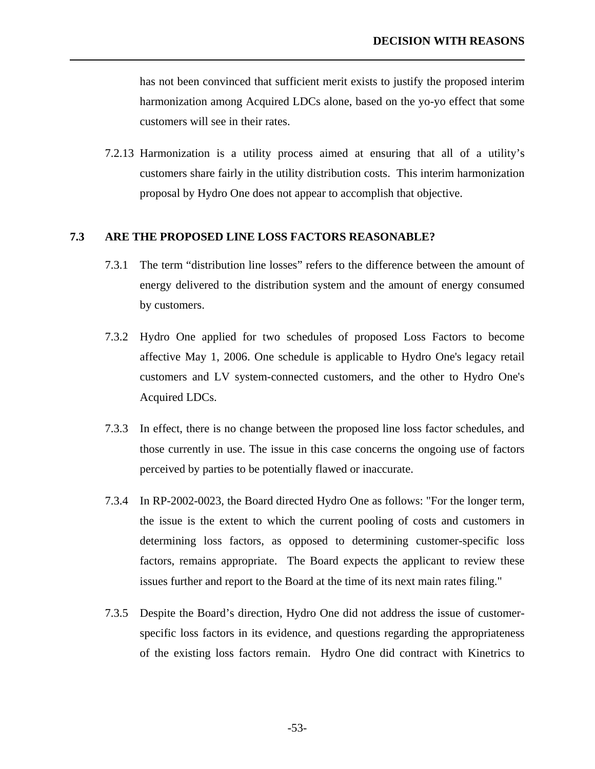<span id="page-56-0"></span>has not been convinced that sufficient merit exists to justify the proposed interim harmonization among Acquired LDCs alone, based on the yo-yo effect that some customers will see in their rates.

7.2.13 Harmonization is a utility process aimed at ensuring that all of a utility's customers share fairly in the utility distribution costs. This interim harmonization proposal by Hydro One does not appear to accomplish that objective.

### **7.3 ARE THE PROPOSED LINE LOSS FACTORS REASONABLE?**

- 7.3.1 The term "distribution line losses" refers to the difference between the amount of energy delivered to the distribution system and the amount of energy consumed by customers.
- 7.3.2 Hydro One applied for two schedules of proposed Loss Factors to become affective May 1, 2006. One schedule is applicable to Hydro One's legacy retail customers and LV system-connected customers, and the other to Hydro One's Acquired LDCs.
- 7.3.3 In effect, there is no change between the proposed line loss factor schedules, and those currently in use. The issue in this case concerns the ongoing use of factors perceived by parties to be potentially flawed or inaccurate.
- 7.3.4 In RP-2002-0023, the Board directed Hydro One as follows: "For the longer term, the issue is the extent to which the current pooling of costs and customers in determining loss factors, as opposed to determining customer-specific loss factors, remains appropriate. The Board expects the applicant to review these issues further and report to the Board at the time of its next main rates filing."
- 7.3.5 Despite the Board's direction, Hydro One did not address the issue of customerspecific loss factors in its evidence, and questions regarding the appropriateness of the existing loss factors remain. Hydro One did contract with Kinetrics to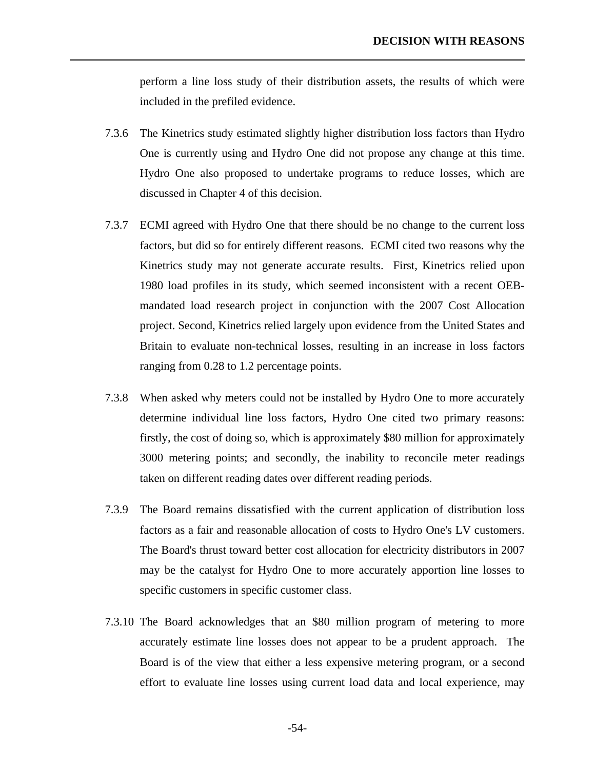perform a line loss study of their distribution assets, the results of which were included in the prefiled evidence.

7.3.6 The Kinetrics study estimated slightly higher distribution loss factors than Hydro One is currently using and Hydro One did not propose any change at this time. Hydro One also proposed to undertake programs to reduce losses, which are discussed in Chapter 4 of this decision.

- 7.3.7 ECMI agreed with Hydro One that there should be no change to the current loss factors, but did so for entirely different reasons. ECMI cited two reasons why the Kinetrics study may not generate accurate results. First, Kinetrics relied upon 1980 load profiles in its study, which seemed inconsistent with a recent OEBmandated load research project in conjunction with the 2007 Cost Allocation project. Second, Kinetrics relied largely upon evidence from the United States and Britain to evaluate non-technical losses, resulting in an increase in loss factors ranging from 0.28 to 1.2 percentage points.
- 7.3.8 When asked why meters could not be installed by Hydro One to more accurately determine individual line loss factors, Hydro One cited two primary reasons: firstly, the cost of doing so, which is approximately \$80 million for approximately 3000 metering points; and secondly, the inability to reconcile meter readings taken on different reading dates over different reading periods.
- 7.3.9 The Board remains dissatisfied with the current application of distribution loss factors as a fair and reasonable allocation of costs to Hydro One's LV customers. The Board's thrust toward better cost allocation for electricity distributors in 2007 may be the catalyst for Hydro One to more accurately apportion line losses to specific customers in specific customer class.
- 7.3.10 The Board acknowledges that an \$80 million program of metering to more accurately estimate line losses does not appear to be a prudent approach. The Board is of the view that either a less expensive metering program, or a second effort to evaluate line losses using current load data and local experience, may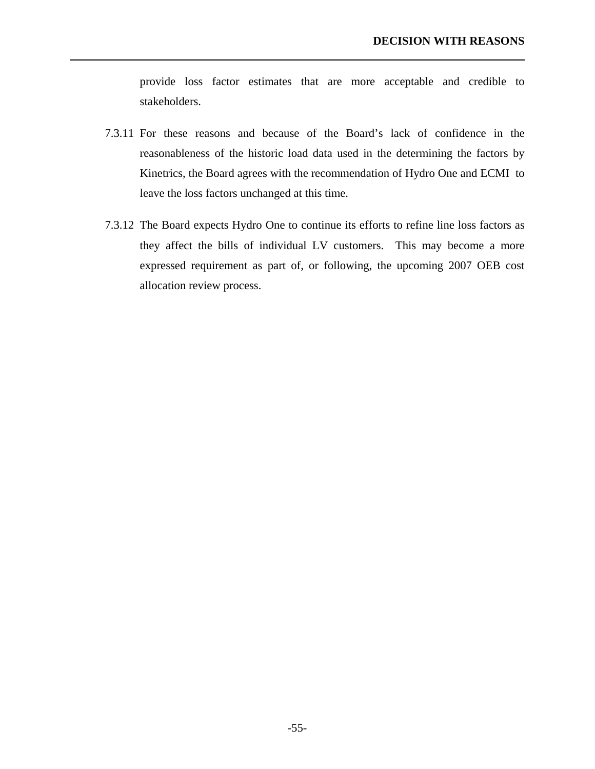provide loss factor estimates that are more acceptable and credible to stakeholders.

7.3.11 For these reasons and because of the Board's lack of confidence in the reasonableness of the historic load data used in the determining the factors by Kinetrics, the Board agrees with the recommendation of Hydro One and ECMI to leave the loss factors unchanged at this time.

l

7.3.12 The Board expects Hydro One to continue its efforts to refine line loss factors as they affect the bills of individual LV customers. This may become a more expressed requirement as part of, or following, the upcoming 2007 OEB cost allocation review process.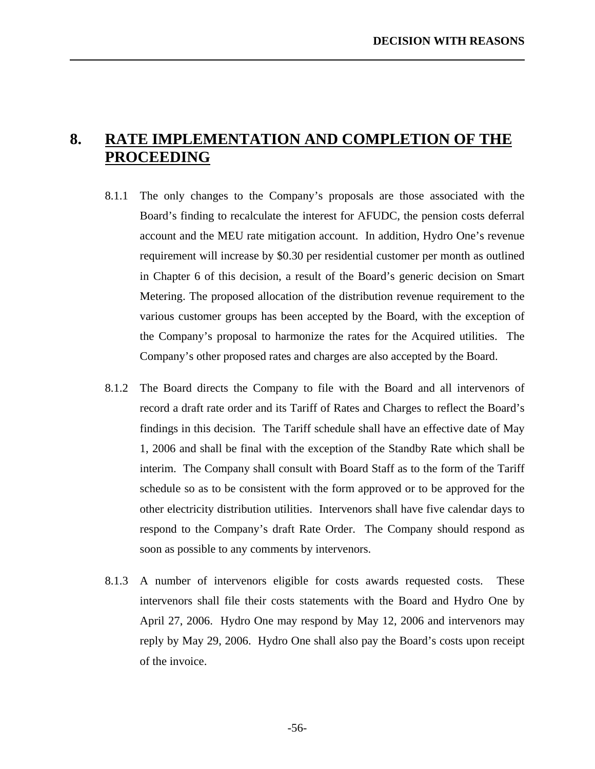# <span id="page-59-0"></span>**8. RATE IMPLEMENTATION AND COMPLETION OF THE PROCEEDING**

- 8.1.1 The only changes to the Company's proposals are those associated with the Board's finding to recalculate the interest for AFUDC, the pension costs deferral account and the MEU rate mitigation account. In addition, Hydro One's revenue requirement will increase by \$0.30 per residential customer per month as outlined in Chapter 6 of this decision, a result of the Board's generic decision on Smart Metering. The proposed allocation of the distribution revenue requirement to the various customer groups has been accepted by the Board, with the exception of the Company's proposal to harmonize the rates for the Acquired utilities. The Company's other proposed rates and charges are also accepted by the Board.
- 8.1.2 The Board directs the Company to file with the Board and all intervenors of record a draft rate order and its Tariff of Rates and Charges to reflect the Board's findings in this decision. The Tariff schedule shall have an effective date of May 1, 2006 and shall be final with the exception of the Standby Rate which shall be interim. The Company shall consult with Board Staff as to the form of the Tariff schedule so as to be consistent with the form approved or to be approved for the other electricity distribution utilities. Intervenors shall have five calendar days to respond to the Company's draft Rate Order. The Company should respond as soon as possible to any comments by intervenors.
- 8.1.3 A number of intervenors eligible for costs awards requested costs. These intervenors shall file their costs statements with the Board and Hydro One by April 27, 2006. Hydro One may respond by May 12, 2006 and intervenors may reply by May 29, 2006. Hydro One shall also pay the Board's costs upon receipt of the invoice.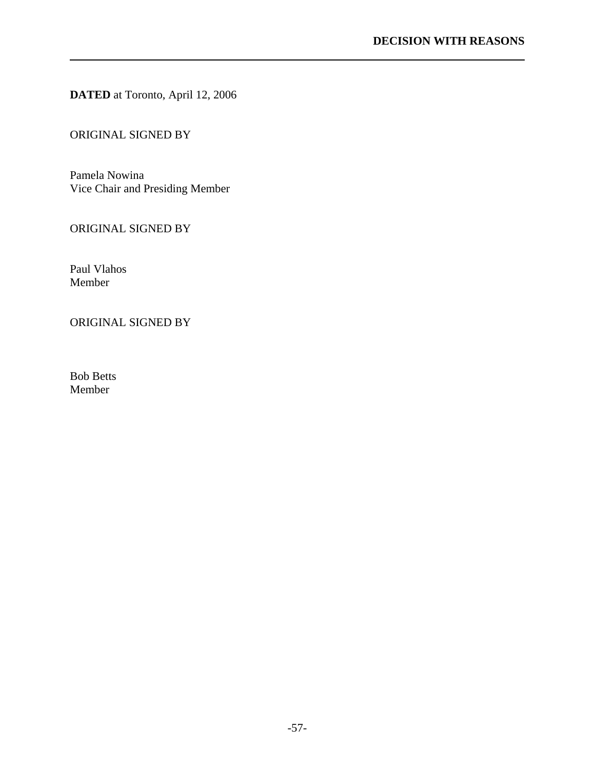**DATED** at Toronto, April 12, 2006

### ORIGINAL SIGNED BY

Pamela Nowina Vice Chair and Presiding Member

### ORIGINAL SIGNED BY

Paul Vlahos Member

l

### ORIGINAL SIGNED BY

Bob Betts Member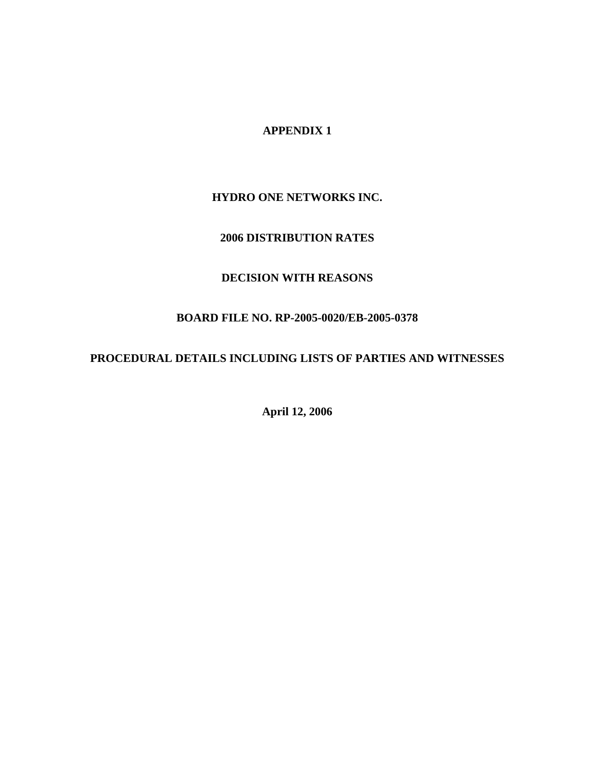### **APPENDIX 1**

### **HYDRO ONE NETWORKS INC.**

### **2006 DISTRIBUTION RATES**

### **DECISION WITH REASONS**

### **BOARD FILE NO. RP-2005-0020/EB-2005-0378**

### **PROCEDURAL DETAILS INCLUDING LISTS OF PARTIES AND WITNESSES**

**April 12, 2006**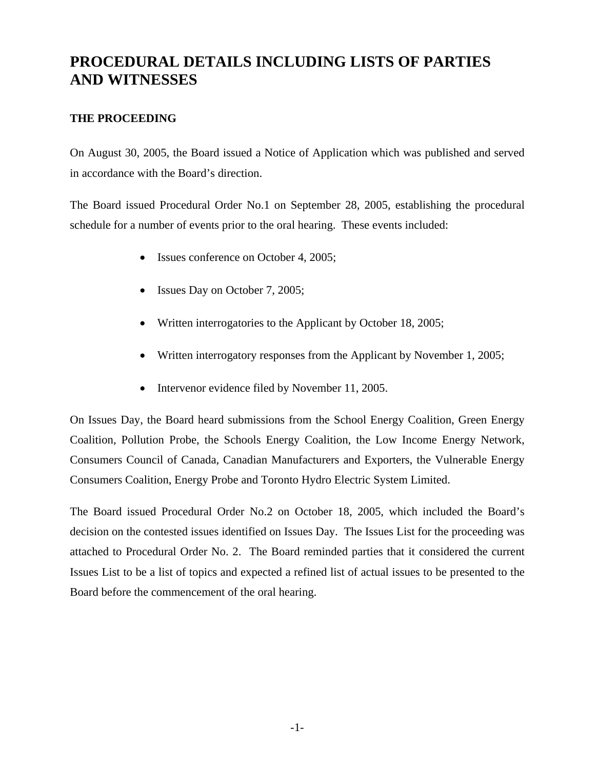# **PROCEDURAL DETAILS INCLUDING LISTS OF PARTIES AND WITNESSES**

### **THE PROCEEDING**

On August 30, 2005, the Board issued a Notice of Application which was published and served in accordance with the Board's direction.

The Board issued Procedural Order No.1 on September 28, 2005, establishing the procedural schedule for a number of events prior to the oral hearing. These events included:

- Issues conference on October 4, 2005;
- Issues Day on October 7, 2005;
- Written interrogatories to the Applicant by October 18, 2005;
- Written interrogatory responses from the Applicant by November 1, 2005;
- Intervenor evidence filed by November 11, 2005.

On Issues Day, the Board heard submissions from the School Energy Coalition, Green Energy Coalition, Pollution Probe, the Schools Energy Coalition, the Low Income Energy Network, Consumers Council of Canada, Canadian Manufacturers and Exporters, the Vulnerable Energy Consumers Coalition, Energy Probe and Toronto Hydro Electric System Limited.

The Board issued Procedural Order No.2 on October 18, 2005, which included the Board's decision on the contested issues identified on Issues Day. The Issues List for the proceeding was attached to Procedural Order No. 2. The Board reminded parties that it considered the current Issues List to be a list of topics and expected a refined list of actual issues to be presented to the Board before the commencement of the oral hearing.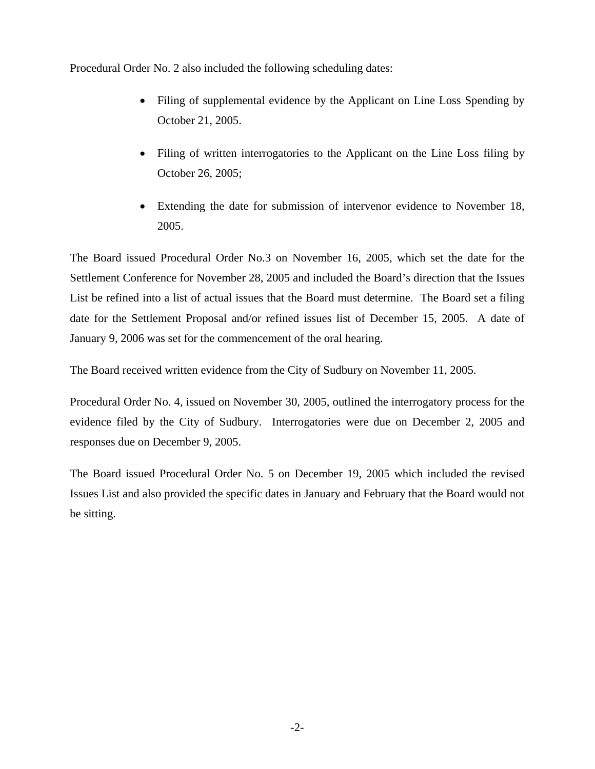Procedural Order No. 2 also included the following scheduling dates:

- Filing of supplemental evidence by the Applicant on Line Loss Spending by October 21, 2005.
- Filing of written interrogatories to the Applicant on the Line Loss filing by October 26, 2005;
- Extending the date for submission of intervenor evidence to November 18, 2005.

The Board issued Procedural Order No.3 on November 16, 2005, which set the date for the Settlement Conference for November 28, 2005 and included the Board's direction that the Issues List be refined into a list of actual issues that the Board must determine. The Board set a filing date for the Settlement Proposal and/or refined issues list of December 15, 2005. A date of January 9, 2006 was set for the commencement of the oral hearing.

The Board received written evidence from the City of Sudbury on November 11, 2005.

Procedural Order No. 4, issued on November 30, 2005, outlined the interrogatory process for the evidence filed by the City of Sudbury. Interrogatories were due on December 2, 2005 and responses due on December 9, 2005.

The Board issued Procedural Order No. 5 on December 19, 2005 which included the revised Issues List and also provided the specific dates in January and February that the Board would not be sitting.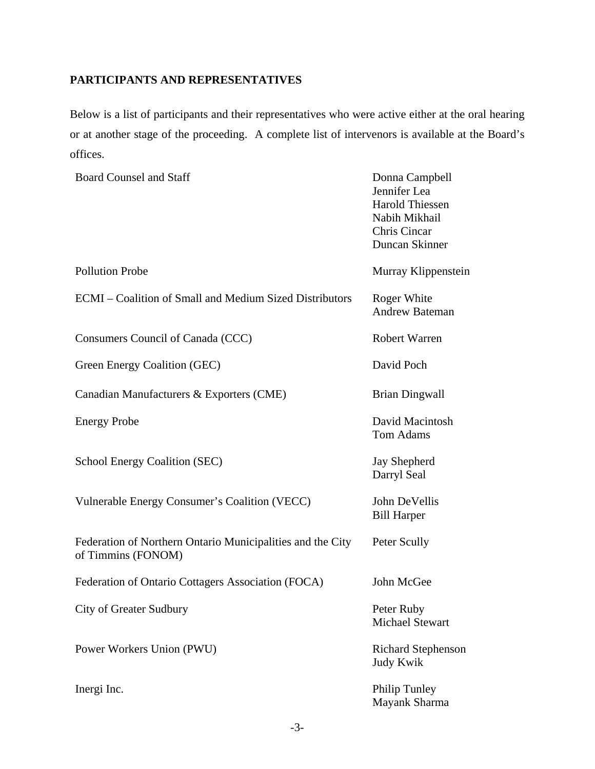### **PARTICIPANTS AND REPRESENTATIVES**

Below is a list of participants and their representatives who were active either at the oral hearing or at another stage of the proceeding. A complete list of intervenors is available at the Board's offices.

| <b>Board Counsel and Staff</b>                                                   | Donna Campbell<br>Jennifer Lea<br><b>Harold Thiessen</b><br>Nabih Mikhail<br>Chris Cincar<br>Duncan Skinner |
|----------------------------------------------------------------------------------|-------------------------------------------------------------------------------------------------------------|
| <b>Pollution Probe</b>                                                           | Murray Klippenstein                                                                                         |
| ECMI – Coalition of Small and Medium Sized Distributors                          | Roger White<br><b>Andrew Bateman</b>                                                                        |
| Consumers Council of Canada (CCC)                                                | <b>Robert Warren</b>                                                                                        |
| Green Energy Coalition (GEC)                                                     | David Poch                                                                                                  |
| Canadian Manufacturers & Exporters (CME)                                         | <b>Brian Dingwall</b>                                                                                       |
| <b>Energy Probe</b>                                                              | David Macintosh<br><b>Tom Adams</b>                                                                         |
| School Energy Coalition (SEC)                                                    | Jay Shepherd<br>Darryl Seal                                                                                 |
| Vulnerable Energy Consumer's Coalition (VECC)                                    | John DeVellis<br><b>Bill Harper</b>                                                                         |
| Federation of Northern Ontario Municipalities and the City<br>of Timmins (FONOM) | Peter Scully                                                                                                |
| Federation of Ontario Cottagers Association (FOCA)                               | John McGee                                                                                                  |
| <b>City of Greater Sudbury</b>                                                   | Peter Ruby<br><b>Michael Stewart</b>                                                                        |
| Power Workers Union (PWU)                                                        | Richard Stephenson<br>Judy Kwik                                                                             |
| Inergi Inc.                                                                      | <b>Philip Tunley</b><br>Mayank Sharma                                                                       |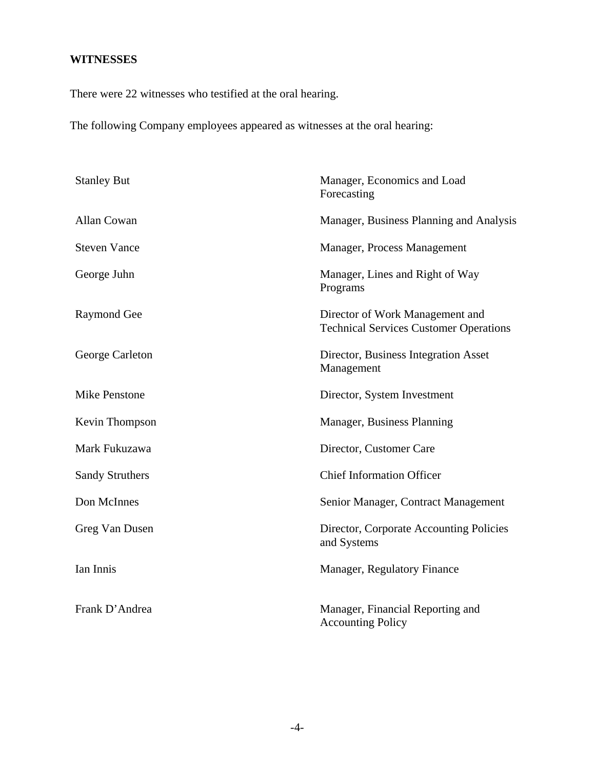### **WITNESSES**

There were 22 witnesses who testified at the oral hearing.

The following Company employees appeared as witnesses at the oral hearing:

| <b>Stanley But</b>     | Manager, Economics and Load<br>Forecasting                                       |
|------------------------|----------------------------------------------------------------------------------|
| Allan Cowan            | Manager, Business Planning and Analysis                                          |
| <b>Steven Vance</b>    | Manager, Process Management                                                      |
| George Juhn            | Manager, Lines and Right of Way<br>Programs                                      |
| Raymond Gee            | Director of Work Management and<br><b>Technical Services Customer Operations</b> |
| George Carleton        | Director, Business Integration Asset<br>Management                               |
| <b>Mike Penstone</b>   | Director, System Investment                                                      |
| Kevin Thompson         | Manager, Business Planning                                                       |
| Mark Fukuzawa          | Director, Customer Care                                                          |
| <b>Sandy Struthers</b> | <b>Chief Information Officer</b>                                                 |
| Don McInnes            | Senior Manager, Contract Management                                              |
| Greg Van Dusen         | Director, Corporate Accounting Policies<br>and Systems                           |
| Ian Innis              | Manager, Regulatory Finance                                                      |
| Frank D'Andrea         | Manager, Financial Reporting and<br><b>Accounting Policy</b>                     |